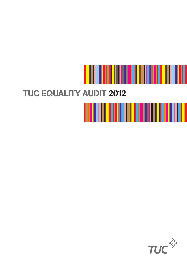

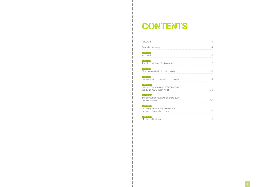# CONTENTS

#### Foreword

Executive summary

SECTION 1 **Introduction** 

SECTION 2 The climate for equality bargaining

SECTION 3 Structures and priorities for equality

SECTION 4 Guidelines and negotiations on equality

Appendix A Unions responding and not responding to the 2012 TUC Equality Audit **28** and 28

Appendix B The climate for equality bargaining over the last two years

Appendix C Working parents and parents-to-be: the state of collective bargaining

Appendix D Mental health at work 36

|   | 3              |
|---|----------------|
|   | $\overline{4}$ |
|   | 6              |
| . | 7              |
|   | 10             |
|   | 14             |
|   | 28             |
|   | 30             |
|   | 32             |
|   | $\Omega$       |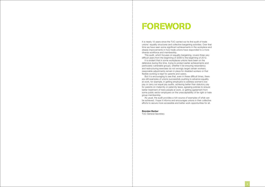# **FOREWORD**

It is nearly 10 years since the TUC carried out its first audit of trade unions' equality structures and collective bargaining activities. Over that time we have seen some significant achievements in the workplace and steady improvements in how trade unions have responded to a more diverse workforce and membership.

This audit, which focuses on equality bargaining, covers three very difficult years from the beginning of 2009 to the beginning of 2012.

It is evident that in some workplaces unions have been on the defensive during this time, trying to protect earlier achievements and particularly vulnerable groups, whether it be ensuring redundancy and restructuring exercises do not wrongly target certain workers, reasonable adjustments remain in place for disabled workers or that flexible working is kept for parents and carers.

But it is encouraging to see that, even in these difficult times, there are still examples of unions successfully pushing to advance equality at work, for example, in getting employers to address women's low pay or carry out equal pay audits, achieving better than statutory pay for parents on maternity or paternity leave, agreeing policies to ensure better treatment of trans people at work, or getting agreement from some public sector employers on the unacceptability of far right or hate group membership.

As usual, the audit provides a rich source of examples of what can be achieved. I hope it informs and encourages unions in their collective efforts to secure more accessible and better work opportunities for all.

#### Brendan Barber

TUC General Secretary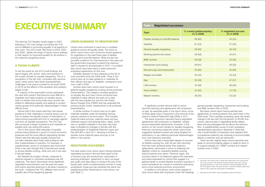# **EXECUTIVE SUMMARY**

The biennial TUC Equality Audits began in 2003 following a TUC rule change committing the TUC and its affiliates to promoting equality in all aspects of their work. This 2012 audit, like those of 2003, 2005 and 2009<sup>1</sup>, details the range of issues unions address in their search for improved equality for all workers in the collective bargaining arena.

# A tough climate

To set the scene for the 2012 Audit findings, the report begins with unions' views and reactions to the current climate for equality bargaining. This is in recognition of the fact that, compared with previous years, trade unions have faced unprecedented challenges in the period covered by the audit (2009 to 2012) as the effects of the recession and austerity began to bite.

A majority of the respondent unions expressed the view that overall it had become more difficult to negotiate and make progress on equality issues. And it is evident that some trade union activity has shifted to defending equality and seeking to protect certain groups from particular disadvantages in these difficult times.

Almost half of the unions said they had issued guidance to their negotiators covering issues such as how to assess the equality impact of redundancy or restructuring proposals and how to campaign against cuts from an equality perspective. The TUC has also produced a range of guidance and materials on equality and cuts during this period.

Two in five unions cited examples of equality policies being diluted as a result of current economic pressures and the more difficult negotiating climate. Others said that although equality policies had not been watered down there were problems with their implementation in practice. For example, a supplementary survey of workplace reps found that three in ten reps thought that it had become harder to access flexible working, while only one in ten said it had got easier.

But despite the tougher climate, measures to advance equality in unionised workplaces are still underway. The report documents some significant negotiated improvements over the past two years and unions reported advances in all areas covered by the audit – evidence that TUC affiliates have not let equality slip off the bargaining agenda.

## Union guidance to negotiators

Unions have continued to issue new or updated guidance across all equality areas. The issue on which unions have most commonly issued quidance for negotiators in the past three years is flexible working and work/life balance. While the law has provided a platform for improvements in this area and the government proposes to extend the statutory right to request to all employees in  $2014^2$ , it is evident that unions have been keen to seek enhanced workplace agreements on this now.

Disability appears to have stepped up the list of union priorities since the 2009 audit. Three in five unions have up-to-date guidance or materials for their officers and reps on disability, compared to just over a half in 2009.

Another area many unions have focused on is general equality bargaining covering all the protected characteristics. This category includes guidance on equality law and many unions produced new materials to keep officers and reps up to date with the new Equality Act and the new Public Sector Equality Duty (PSED) that has extended the previous public duties' requirements to all protected characteristics.

A similar number of unions have up-to-date materials available under the heading working parents, parents-to-be and carers. This includes maternity leave and pay, paternity leave and pay, childcare support and parental leave. Again, some new or updated materials in this area may have been motivated by changes in the law with the implementation of Additional Paternity Leave and Pay (APL&P) in April 2011, allowing a mother to transfer some maternity leave and pay to the father or her partner.

## Negotiated successes

The area where most unions report having achieved negotiated success in the last three years is that of women's pay and employment, particularly in securing employers' agreement to carry out equal pay audits and take steps to improve the pay of the lowest paid, which is predominantly women in many workplaces. Equal pay has remained the stand-out bargaining priority mentioned by most unions, too *(see Table 1)*.

A significant number (almost half) of unions reported reaching new agreements with employers on age. As examples given in the report show, some of these deals were in response to the removal of the statutory Default Retirement Age (DRA) in 2011.

The same proportion reported having negotiated agreements with employers on disability, notably around reasonable adjustments. However, in the section on the current climate for equality bargaining there are concerning instances where unions have suggested disabled workers are being targeted for redundancy or are suffering particular disadvantages from cost-reduction exercises.

Unions have had a reasonable degree of success on flexible working too, with 46 per cent reporting that they have achieved better than statutory agreements, particularly in terms of widening the eligibility criteria for requesting flexible working beyond parents and carers. However, again, this success needs to be balanced against the examples and views expressed by unions that suggest it is getting harder to access flexible working in practice in some workplaces as a result of workforce reductions and a more insecure economic environment.

In addition to the above, more unions appear to have struck deals with employers under the headings

general equality bargaining, harassment and bullying and BME workers than in 2009.

But fewer unions report having reached new agreements on working parents and carers than in the 2009 audit. This is perhaps surprising, given the recent change in the law with the introduction of APL&P and unions' past success in negotiating family-related leave and pay packages that are above the statutory floor. A supplementary survey of union workplace representatives reported in Appendix C finds that only a small handful of employers have adapted their occupational maternity pay schemes to accommodate fathers or partners who are taking APL.

There are also slightly fewer unions reporting new deals on accommodating religion or belief at work or to support equality for LGB&T workers and migrant workers than in 2009.

| <b>Table 1: Negotiated successes</b>  |                                          |                                     |  |
|---------------------------------------|------------------------------------------|-------------------------------------|--|
| <b>Topic</b>                          | % current guidance/policy<br>(% in 2009) | % negotiated success<br>(% in 2009) |  |
| Flexible working or work/life balance | 69 (65)                                  | 44 (44)                             |  |
| <b>Disability</b>                     | 61(54)                                   | 47 (35)                             |  |
| General equality bargaining           | 58 (65)                                  | 39(16)                              |  |
| Working parents and carers            | 58 (58)                                  | 42(51)                              |  |
| <b>BME</b> workers                    | 56 (58)                                  | 42 (35)                             |  |
| Harassment and bullying               | 56 (61)                                  | 39 (33)                             |  |
| Women's pay and employment            | 53 (63)                                  | 50 (30)                             |  |
| Religion and belief                   | 50 (42)                                  | 22(23)                              |  |
| Age                                   | 50(49)                                   | 47 (37)                             |  |
| <b>LGB</b> workers                    | 44 (56)                                  | 28(33)                              |  |
| <b>Trans workers</b>                  | 44 (35)                                  | 14(16)                              |  |
| Migrant workers                       | 36 (35)                                  | 22(23)                              |  |

<sup>1.</sup> Unusually, this audit covers a three-year rather than a four-year period. This is as a result of the General Council's decision last year to bring the audit forward by a year as at that time it was anticipated that the 2013 Congress, when the audit was due, could be a smaller-scale event without time to give the audit proper consideration.

<sup>2.</sup> Although the 26 weeks' service qualifying criteria will remain.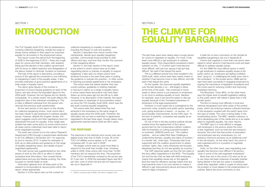#### SECTION 1

# **INTRODUCTION**

The TUC Equality Audit 2012, like its predecessors covering collective bargaining, reveals the range of issues unions address in their search for improved equality for all workers in the employment arena.

This report covers the period from the beginning of 2009 to the beginning of 2012 – three very tough years for unions and their members, with austerity biting and the election of the coalition government with its focus on deficit reduction and deregulation of the labour market to minimise 'burdens on business'.

The bulk of the report is descriptive, providing a picture of the agenda the movement is now following on bargaining in each of the equality areas. It also provides examples of good practice agreements on a wide range of equality topics.

The report gives figures of the number or proportion of unions issuing guidance on each of the topics, and also shows the equivalent figure for the 2009 audit. However, the two figures are not directly comparable. To a certain extent, the audit reflects the subjective view of the individual completing it. This is often a different individual from the person who returned the previous audit questionnaire.

As the next section in this report on the climate for collective bargaining shows, most unions feel it has been harder to get employers to address equality issues. However, despite the tougher climate, this report suggests unions and their negotiators have not abandoned the push for equality. Every single area audited has seen some action by some unions and in all cases unions collectively have been able to report some negotiated success.

The unions were first asked whether they had current policies, guidelines or briefing materials or had put in claims on a range of equality topics. In some cases these documents may have been drawn up some years ago but are still up to date. However, in its description of the material, this report concentrates on examples of documentation drawn up since the TUC Equality Audit 2009, which was the last audit covering equality bargaining.

The audit was carried out by the Labour Research Department (LRD) through a questionnaire distributed to all TUC affiliates in November 2011 for response by end of January 2012. It asked for examples of both up-to-date policies and guidance on the range of equality bargaining topics, and details of good negotiated agreements.

The response to the national union survey was very slightly lower than that of 2009. In total, 36 of the TUC's 54 affiliate unions replied, or 67 per cent, compared with 72 per cent in  $2009<sup>3</sup>$ .

The main survey was supplemented by two other pieces of work by the LRD in an effort to obtain workplace level information. One covered familyrelated leave and pay and flexible working; the other focused on mental health at work.

The largest unions were as usual more likely to respond to the audit than smaller ones. However, unlike in 2009, three unions with more than 10,000 members did not respond this time. The proportion of the TUC's membership covered by the survey was 97.3 per cent. In 2009 the equivalent figure was 99.3 per cent. Lists of which did and did not respond are set out in Appendix A.

3. OURS is counted as part of NGSU, with which it merged in 2011.

#### SECTION 2

# **THE CLIMATE FOR** equality bargaining

Information gleaned from all these parts of the research is incorporated at various points within this report, where appropriate.

Section 2 of this report sets out the context for

collective bargaining on equality in recent years, including the impact of cuts and austerity.

Section 3 describes how unions monitor their membership, decide upon equality bargaining priorities, communicate those priorities to their officers and reps, and how they monitor the outcome of their bargaining efforts.

Section 4, the main section of the report, looks at the extent to which unions have up-to-date negotiating advice or policies on equality to support bargaining. It also sets out where unions have achieved success in the past three years in putting the guidance or policies into practice – in other words in reaching successful agreements in the workplace.

The unions were then asked what they had achieved in the workplace on the same range of equality issues since the 2009 audit. Therefore, the information set out here is restricted to agreements negotiated in the last three years, though clearly many agreements reached before 2009 are still in place.

#### The response

The last three years have clearly been a tough period for unions to negotiate on equality. For most, it has been more difficult to get employers to address equality issues. Thirty respondents answered a direct question on this, 17 of which said it had become more difficult, with just four saying it had got less difficult. Ten said it had stayed the same.

This is a different picture from that revealed in the 2009 audit, when unions were fairly evenly mixed on whether it had become more or less difficult, and half said it had stayed the same.

On the upside, the improved equality legislation over the last decade or so – still largely in place at the time of the audit – has continued in some cases to allow unions to put pressure on employers to do more to address equality at work. Nautilus, for example, says it has become easier to discuss equality because of the "increased awareness of employers of the legal requirements".

However, in most cases this is outweighed by the economic crisis, austerity and public sector spending cuts, giving employers a reason – or excuse – to avoid equality improvements. As the CWU says: "In the face of austerity, companies see equality as an easy target."

On top of this is the less positive political climate created since the replacement of the Labour government by the Conservative-LibDem coalition, with its emphasis on cutting purported burdens on business. UNISON points out: "The coalition policies… and so-called Red Tape Challenge is undermining fairness, equality and rights of workers." In a similar vein, Unite says: "Employers feel more supported with the coalition government to attack workers' rights. Also, many employers are focused elsewhere and they do not see equality as a priority."

The CSP response spells out how the two sides of the story affect negotiations in the NHS: "The Equality Act and the fact that we deal with NHS employers… means that equalities issues are on the agenda [but] the need for efficiency savings means that any improvements have to be cost neutral so makes it difficult to get improvements above and beyond the need for legal compliance."

A fuller list of union comments on the climate for equalities bargaining is set out in Appendix B. Unions that organise in more than one sector were asked in which sectors it had become most and least difficult to address equality issues.

For the GMB the most difficult sector in which to get employers to address equality issues is the public sector, as "employers are feeling confident, even 'gung ho', in challenging the trade union role in the workplace". In the private sector, GMB said its reps have been successful in engaging employers by arguing the importance of legislative compliance and the moral case for reducing conflict and improving workplace harmony.

The Musicians' Union (MU), on the other hand, says the higher level of equality legislation relating to the public sector still makes it easier than in the private sector.

The NUJ is having most difficulty in local and national newspapers and other areas of the printed press, which are enduring massive cutbacks because of the recession coupled with the switch away from this type of media. The union is faring better in the broadcasting sector. The BBC, despite cutbacks, is still a developing part of the media and so is an easier place to negotiate equality, the union reports. The RMT says it is most difficult to engage with employers in the sectors where the union is less organised, such as road and sea transport, because "the union has less power of persuasion and employers see any unnecessary (i.e. not statutory minimum) provision as an additional cost". In the rail industry, on the other hand, the union is well organised and is in a position to negotiate better deals.

Unite, on the other hand, says negotiating over equality has become more difficult in all sectors, "even in some of the well organised workplaces". More than two in five unions (15) went as far as to say there had been instances of equality policies being diluted in the last two years in workplaces where they negotiate, while a couple of unions said the problem is more related to the implementation of policies. Below are some comments on this.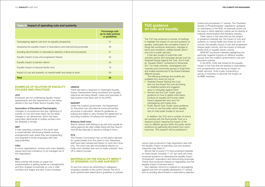unions have produced to help negotiators deal with the equality impact of spending cuts and austerity measures *(see Table 2)*.

Almost half of unions (17) have produced materials on these issues, including 11 (31 per cent) who have produced guidance on assessing the equality impact of employers' redundancy and restructuring proposals. Twelve have produced material on negotiating over the equality impact of pension reform.

Also relatively common is material on campaigning against cuts from an equality perspective (11 unions) and on avoiding discrimination in redundancy selection

criteria and procedures (11 unions). The Chartered Society of Physiotherapists' negotiators' guidance on redundancy in the NHS, for example, points out the ways in which selection criteria can be directly or indirectly discriminatory and therefore unlawful. Other topics in this area that are the subject

#### EXAMPLES OF DILUTION OF EQUALITY policies and practices

#### **UCU**

of guidance materials are: the impact of cuts and austerity on mental health and stress at work (10 unions); the equality impact of pay and progression freezes (eight unions); and the impact of reduced facility time on equality (seven unions).

NASUWT produced materials highlighting the particular negative impacts on different equality groups from the coalition government's cuts and education policies. In the NHS, Unite has looked at the equality

impact of the cuts that are leading to redundancy and reorganisation and having an impact on health services. Unite is also conducting a survey of members to discover the impact on its BME members.

Employers are not undertaking equality impact assessments and this requirement is now being diluted in the new Public Sector Equality Duty.

#### Materials on the equality impact OF SPENDING CUTS AND AUSTERITY

#### Association of Educational Psychologists

Changes to occupational sick pay; tightening of policies on how and when leave can be taken; changes to car allowances, which has been particularly detrimental to solitary workers who are disabled or female.

#### RMT

# **TUC quidance** on cuts and equality

A train operating company in the south-east is systematically withdrawing flexible working arrangements even where they are longstanding and essential to those employees with care responsibilities.

#### CWU

In some organisations, workers who have disability issues have had a tendency to be managed out of the organisation.

#### **NUJ**

It has also sought to build links with voluntary sector and campaign groups such as Disabled People Against the Cuts. And it held an 'Equality Deficit' conference in November 2011 for trade unionists, campaigners and voluntary and community groups to forge links and enable experiences to be shared between different groups.

Many policies still remain on paper but implementation is getting harder as managements and NUJ chapels concentrate on cuts in staff numbers and wages and lack of pay increases.

#### UNISON

There has been a reduction in meaningful Equality Impact Assessments being completed and equality objectives are being diluted. Cases and examples of bad practice have been sent to the EHRC.

- *Disabled People Fighting the Cuts:* sets out the impact the cuts are having on disabled people and suggests ways to campaign against them.
- *Women and the Cuts Toolkit: gives* guidance on how to gather information, produce an equality and human rights impact assessment and use it for campaigning and media work.
- *Public Sector Duty Toolkit:* gives guidance on how to use the public sector equality duty to hold public bodies to account.

#### NASUWT

In addition, the TUC and a number of unions are working with the Runnymede Trust on a research project mapping the impact of the cuts on different groups within the public sector workforce by gathering information from union branches. This research will be published in

Under the coalition government, the Department for Education has cancelled all social partnership structures in education, diluted its quidelines on bullying and failed to carry forward the agreement on recording incidents of bullying and harassment.

#### Britannia Staff Union

Branch network staff wishing to go part time (usually for caring reasons) are often initially being told they have to work all day Saturday to secure a change in hours.

#### **PCS**

The Forestry Commission has cut the period allowed for career breaks from five years to two. Elsewhere staff have been refused permission to work term-time only. The union has also encountered attacks on trade union facilities time and on trade unionists' time off to attend courses.

To see how unions are attempting to safeguard workplace equality in the current climate, the 2012 audit questionnaire asked about guidelines or policies

### Table 2: Impact of spending cuts and austerity

|                                                                         | Percentage with<br>up-to-date policies<br>or guidelines |
|-------------------------------------------------------------------------|---------------------------------------------------------|
| Campaigning against cuts from an equality perspective                   | 31                                                      |
| Assessing the equality impact of redundancy and restructuring proposals | 33                                                      |
| Avoiding discrimination in redundancy selection criteria and procedures | 31                                                      |
| Equality impact of pay and progression freezes                          | 22                                                      |
| Equality impact of pension reform                                       | 33                                                      |
| Equality impact of reduced facility time                                | 19                                                      |
| Impact of cuts and austerity on mental health and stress at work        | 28                                                      |
| Total                                                                   | 34                                                      |

The TUC has produced a number of briefings to highlight the impact of cuts and austerity on equality, particularly the cumulative impact of things like workforce reductions, changes to terms and conditions, welfare benefit reform and cuts in public services.

The following briefings and toolkits are available from www.tuc.org.uk: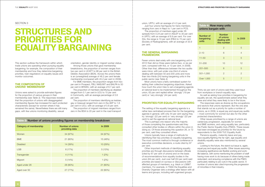#### SECTION 3

# **STRUCTURES AND** priorities for **EQUALITY BARGAINING**

union, URTU, with an average of 4.3 per cent. Just four unions had figures for trans members, ranging from zero in Napo to 1 per cent in PCS. The proportion of members aged under 26 spreads from 0.24 per cent in ASLEF to 30 per cent in URTU, with an average of 8.9 per cent. For over 50s, the range is 10 per cent (FBU) to 72 per cent (Society of Radiographers), with an average of 33.9 per cent.

#### The general bargaining framework

Fewer unions deal solely with one bargaining unit in 2012 than did so three years before (two, or six per cent, compared with five, or 13 per cent, in 2009). Other than that, differences between the two audits were minor, with just under one-third of unions dealing with between 50 and 200 units and more than two-thirds (24) having bargaining units in the public sector *(see Table 4).*

The setting of the equality bargaining agenda is a rather less centralised process than for the bargaining agenda in general, with only 44 per cent saying they try 'strongly' (22 per cent) or 'very strongly' (22 per cent) to set the agenda at national level.

Most unions have a fairly centralised system for setting their collective bargaining objectives. Asked how much the union tries to set a bargaining agenda at national level to be implemented throughout the union, 63 per cent replied either 'strongly' (19 per cent) or 'very strongly' (44 per cent).

PRIORITIES FOR EQUALITY BARGAINING

This is perhaps one reason why the majority of those completing the questionnaire said they consulted other bodies or officers within the union in doing so. Of those answering this question 26, or 72 per cent, said they consulted others.

Unions typically have a range of methods for identifying their key priorities on equality bargaining. The most common method is through conference or executive committee decisions, a route cited by 97 per cent.

Other important methods of identifying equality priorities are through discussions between officials (cited by 67 per cent of unions) and on the basis of recommendations from equality bodies in the union (64 per cent). Just over half (53 per cent) said priorities are based on surveys or discussions with affected groups of members, e.g. black or LGB&T members. For example, in TSSA the Equalities and Diversity Organiser sets a strategy after liaison with all teams and groups, including self-organised groups.

Thirty-six per cent of unions said they used input from workplace or branch equality reps.

As well as asking how priorities in bargaining for equality are set, the questionnaire asked what they were and what they were likely to be in the future. The responses were as diverse as the occupations and sectors that unions represent. But the one area

that stands out as a priority for quite a number of unions, as in 2009, is equal pay and equal pay audits – most commonly for women but also for the other protected characteristics. Other issues prioritised by a range of unions are career/pay progression, especially for women and BME workers, and using equality law, particularly the Public Sector Equality Duty (PSED). These issues had been envisaged as priorities for the future by respondents to the 2009 TUC Equality Audit. Pensions equality, maternity leave and pay, race equality/fighting the far right, age equality and disability equality were also mentioned by several unions.

Looking to the future, the stand-out issue is, again, equal pay and equal pay audits. Other issues assuming increasing significance are flexible working and worklife balance, with some mentioning the problem of staff having more work to do because of others being made redundant, and ensuring compliance with the PSED, particularly relating to job cuts in the public sector. A number of unions also cited improving the progression of minorities in their industry.

This section outlines the framework within which trade unions are operating when pursuing equality bargaining; for example, the composition of their membership and how they determine bargaining priorities, train negotiators on equality issues and monitor outcomes.

### The composition of unions' membership

Unions were asked to provide estimated figures for the proportion of various groups in their membership *(see Table 3).* The responses revealed that the proportion of unions with disaggregated membership figures has increased for each protected characteristic (except for women where it has remained the same). Nevertheless there are still many gaps, with few unions monitoring disability, sexual

orientation, gender identity or migrant worker status.

Among those unions that gave membership breakdowns, the proportion of women ranges from two per cent in UCATT to 96 per cent in the British Dietetic Association (BDA). Across the unions there is an (unweighted) average of 46.2 per cent female membership (compared with 45.2 per cent in 2009).

For BME members, the proportion ranges from two per cent in Prospect, FBU, NASUWT and BALPA to 50 per cent in BFAWU, with an average of 8.7 per cent.

The proportion of members identifying as disabled ranged from 0.1 per cent in UCU to 10 per cent in Community, with an average percentage of 2.6 per cent.

The proportion of members identifying as lesbian, gay or bisexual ranged from zero in the AEP to 1.6 per cent in UCU, with an average of 0.8 per cent.

The proportion of migrant members ranged from zero in the BDA to 20 per cent in the road transport

Table 3: Number of unions providing figures on membership breakdown

| Category of membership | <b>Number of unions</b><br>providing data | In 2009  |
|------------------------|-------------------------------------------|----------|
| Women                  | 34 (97%)                                  | 34 (97%) |
| <b>BME</b>             | 21 (60%)                                  | 15 (48%) |
| <b>Disabled</b>        | 14 (39%)                                  | 10 (29%) |
| <b>LGB</b>             | 6(17%)                                    | 5(13%)   |
| Transgender            | $4(11\%)$                                 | 1(2%)    |
| Migrant                | 5(14%)                                    | 1(2%)    |
| Aged under 26          | 28 (80%)                                  | 21 (60%) |
| Aged over 50           | 27 (77%)                                  | 22 (60%) |

| <b>Table 4: How many units</b><br>unions bargain with |                                                           |                |  |
|-------------------------------------------------------|-----------------------------------------------------------|----------------|--|
| Number of<br>bargaining<br>units                      | <b>Number</b><br>of unions<br>dealing with<br>this number | In 2009        |  |
| $\mathbf{1}$                                          | $\overline{2}$                                            | 5              |  |
| $2 - 10$                                              | 6                                                         | $\overline{4}$ |  |
| $11 - 50$                                             | 3                                                         | 5              |  |
| $51 - 200$                                            | 10                                                        | 12             |  |
| 201-500                                               | 6                                                         | 5              |  |
| $501 - 1,000$                                         | $\overline{2}$                                            | $\overline{2}$ |  |
| Over 1,000                                            | 5                                                         | $\overline{7}$ |  |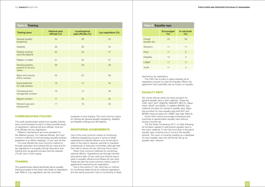reached by lay negotiators.

The CWU has a policy in place whereby all its negotiators should run past the Equality Officer any agreement that potentially has an impact on equality.

## Equality reps

Ten unions (29 per cent) now have provision for general equality reps in their rulebook. These are CWU, NUJ, NUT, UNISON, NASUWT, BECTU, Napo, Unite, ASLEF and NGSU. In addition BFAWU has rulebook provision for women's equality reps, Napo has provision for race equality reps and NUT and BFAWU have provision for LGB&T reps *(see Table 6).*

Some other unions encourage workplaces and branches to appoint/elect equality reps without having a formal rule.

The first Rules Conference 2011 of Unite following its formation agreed to add branch equality reps to the union rulebook. It now has more than a thousand equality reps covering one or more of the equality strands. The union is currently building up a database of union equality reps and will shortly set up an equality reps' network.

#### TUC EQUALITY AUDIT 2012 **STRUCTURES AND PRIORITIES FOR EQUALITY BARGAINING**

The questionnaire asked specifically about equality training provided to the three main levels of negotiators *(see Table 5)*. Lay negotiators are the most likely

### Communicating policies

The audit questionnaire asked how equality policies were communicated to each of three possible levels of negotiators: national full-time officials, local fulltime officials and lay negotiators.

Different mechanisms are more prevalent for the different groups. For national officials, the most common method of communicating equality policies/ guidelines is at officer meetings; 72 per cent do this.

For local officials the most common method is through education and training (58 per cent) and for lay negotiators it is equally through education and training and via general circulars and the website (72 per cent in both cases).

## **TRAINING**

recipients of such training. The most common topics for training are general equality bargaining, disability and flexible working/work-life balance.

### Monitoring achievements

One of the most common means of monitoring collective bargaining success in terms of deals negotiated by national officers is by formal report back to the union's national, sectoral or industrial conferences or executive committee, although less than half of unions (44 per cent) say this is done.

Other most common methods for monitoring national officers' negotiations are through informal discussions (also 44 per cent) and informal report back to equality officers/committees (42 per cent). These are also the most common means used for agreements reached by lay negotiators.

One in five unions (17 per cent) has no method for monitoring deals struck by national negotiators and the same proportion has no monitoring of deals

| <b>Table 5: Training</b>                        |                                       |                                      |                     |
|-------------------------------------------------|---------------------------------------|--------------------------------------|---------------------|
| <b>Training issue</b>                           | <b>National paid</b><br>officials (%) | Local/regional<br>paid officials (%) | Lay negotiators (%) |
| General equality<br>bargaining                  | 44                                    | 39                                   | 53                  |
| <b>Disability</b>                               | 39                                    | 36                                   | 44                  |
| Flexible working/<br>work-life balance          | 33                                    | 33                                   | 47                  |
| Religion or belief                              | 31                                    | 25                                   | 31                  |
| Working parents,<br>parents-to-be and<br>carers | 28                                    | 28                                   | 36                  |
| <b>Black and minority</b><br>ethnic workers     | 22                                    | 22                                   | 39                  |
| Equal treatment<br>for LGB workers              | 19                                    | 14                                   | 33                  |
| Transsexual and<br>transgender workers          | 19                                    | 14                                   | 28                  |
| Migrant workers                                 | 17                                    | 22                                   | 25                  |
| Women's pay and<br>employment                   | 17                                    | 19                                   | 33                  |

| <b>Table 6: Equality reps</b> |                          |                     |  |
|-------------------------------|--------------------------|---------------------|--|
|                               | <b>Encouraged</b><br>(%) | In rule book<br>(%) |  |
| Overall<br>equality rep       | 22                       | 28                  |  |
| Women's                       | 11                       | 11                  |  |
| Race                          | 17                       | 6                   |  |
| <b>Disability</b>             | 14                       | 3                   |  |
| LGB&T                         | 17                       | 11                  |  |
| Youth                         | 11                       | 3                   |  |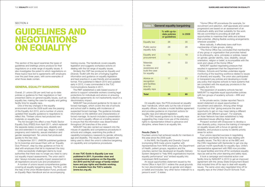#### SECTION 4

# **GUIDELINES AND NEGOTIATIONS ON EQUALITY**

This section of the report examines the types of guidelines and briefings unions produce for their negotiators on a wide range of equality issues. It also investigates the extent to which negotiations on these topics have led to agreements with employers over the past three years, with some examples of what those deals contain.

### **GENERAL EQUALITY BARGAINING**

Overall, 21 unions (58 per cent) had up-to-date policies or guidance for their negotiators or had presented claims on general equality issues, such as equality law, making the case for equality and getting facility time for equality reps.

One of the key changes in the equality environment since the 2009 audit was the passing of the Equality Act 2010, and a number of unions updated their equality guidance to negotiators to reflect this. Thirteen unions had produced new materials on equality law.

The Act brought into effect a new Public Sector Equality Duty (PSED) from April 2011, which replaced the separate duties covering race, disability and sex and extended it to cover age, religion or belief, pregnancy and maternity, sexual orientation and gender reassignment. Ten unions had produced guides to the new duty.

In September 2011, UNISON published guidance for its branches and issued them with an 'Equality Duty Protocol', step-by-step guidance on how to deal with employers that fail to implement the duty.

Unite successfully challenged claims by local authorities that there was no longer any need to carry out equality impact assessments. The union said it also "always includes equality impact assessment in all negotiations around cuts and privatisations".

A number of unions issued comprehensive guides covering all equality bargaining issues. The NUJ, with the help of the Union Modernisation Fund, produced an *Equality Reps Handbook* and an accompanying

training course. The handbook covers equality legislation and suggests workplace actions on dealing with the full range of equality issues.

Similarly the CSP has produced an *Equality and Diversity Toolkit* with the aim of bringing together information and guidance on equality legislation and best practice in a user-friendly and accessible format. First published in March 2010 and updated early in 2012, it was commended in the TUC Communications Awards in 2011.

The RMT established a web-based source of advice to support vulnerable workers covering legal protections for individuals and advice on ensuring collective agreements do not inadvertently result in a discriminatory impact.

NASUWT has produced guidance for its reps on forced marriages, which covers the role of schools and school staff in dealing with incidences of suspected forced marriage. The guidance includes information on the definition and characteristics of forced marriage. Its launch included a presentation to the union's equality officers at a briefing session to ensure that the information was disseminated throughout UK branches of the union.

NASUWT has also carried out research into the misuse of capability and competence procedures in schools and colleges, examining the profile of capability/competency casework by gender, ethnicity, age and disability. The results of this research are being used to direct the union's collective bargaining on capability and competence procedures.

A new *TUC Guide to Equality Law* was published in 2011. It provides clear and comprehensive guidance on the Equality Act 2010 and the full range of family-related leave and pay rights and flexible working. It is available from the TUC's website (www.tuc.org.uk).

On equality reps, the PCS produced an equality reps' handbook, which sets out the role of branch equality officers, includes a model facilities agreement and provides guidance on important actions for equality reps and relevant legislation.

The CWU issued guidance to its equality reps suggesting they make more use of the statutory rights to representation linked to grievance and discipline, where there is an equality link.

#### Results (Table 7)

Fourteen unions had achieved results for members in this area since the 2009 audit.

In the NHS, the Equality and Diversity Council (comprising NHS trade unions together with representatives from NHS employers, the Department of Health, patient groups, regulators and the voluntary sector) has developed an Equality Delivery System designed to "help NHS organisations improve equality performance" and "embed equality into mainstream NHS business".

An equal opportunities statement issued by the Home Office in April 2011 widens the usual grounds for non-discrimination (such as gender and religion or belief) and includes "any other factor irrelevant to a person's work". It states:

"Home Office HR procedures (for example, for recruitment and selection, staff appraisals and career progression) are based on an assessment of an individual's ability and their suitability for the work. We are committed to providing all staff with opportunities to maximise their skills and achieve

their potential, offering flexible working arrangements wherever possible."

More radically, it effectively bans staff from membership of hate groups, stating:

"The Home Office has concluded that membership of any group or organisation that promotes hatred in its philosophy, aims, principles or policies, based on gender, gender identity, race, disability, sexual orientation, religion or belief, is incompatible with the work and values of the Home Office."

NASUWT applied negotiating pressure that resulted in agreement that the Department for Children, Schools and Families undertake regular monitoring of the teaching workforce related to issues of diversity and equality. The union also participated in transparent pay policies and developing a model pay policy that requires schools to have systems that are compliant with the equal pay provisions in the Equality Act 2010.

The expansion of academy schools has led NASUWT to negotiate equal opportunities policies with two groups of academy schools – ARK and Oasis.

In the private sector, Usdaw reported Tesco's recent statement on equal opportunities in recruitment and selection. Among other things it pointed out that "giving everyone the same opportunity to get on may mean taking a different approach with different groups". For example, an Asian Network has been established to help understand issues affecting Asian staff.

Prospect worked with Draxpower to develop a new diversity policy, improve the training of managers on equality issues with a focus on gender and disability, and produce a survey to identify priority areas for action.

Four unions reported success in negotiating recognition and facility time for reps dealing with equality issues. The NUJ did so at the BBC and the CWU negotiated with Santander to get one day paid per month specifically for equality reps. Unite's representative agreement with RBS now provides for equal facilities and time off for workplace equality reps (as well as the union learning and safety reps). It took a campaign and industrial action over facility time by NASUWT in 2010 to get an improved agreement with the Jersey State Employment Board that included time off for reps to deal with equality issues. The same union also negotiated time off for equality reps at the United Church Schools Trust.

| <b>Table 7: General equality bargaining</b>                                     |                                                 |         |  |
|---------------------------------------------------------------------------------|-------------------------------------------------|---------|--|
|                                                                                 | % with up-to-<br>date policies<br>or guidelines | In 2009 |  |
| <b>Equality law</b>                                                             | 36                                              | 30      |  |
| <b>Public sector</b><br>equality duty                                           | 28                                              | 28      |  |
| Equality and<br>procurement                                                     | 19                                              | 19      |  |
| <b>Materials</b><br>to raise<br>awareness and<br>build the case<br>for equality | 44                                              | 33      |  |
| Advice on<br>recognition<br>and facilities<br>time for<br>equality reps         | 17                                              | 23      |  |
| Total                                                                           | 58                                              | 65      |  |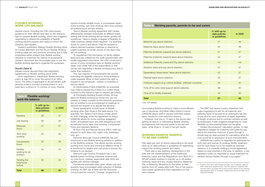encouraging flexible working to make a more efficient use of resources. And Mole Valley District Council (UNISON) allows staff to request unlimited unpaid leave, mostly for cost-reduction reasons.

However, only one in 10 reps in the survey said getting access to or maintaining flexible working arrangements had become easier in the last two years, while three in 10 said it had got harder.

#### Working parents, parentsto-be and carers

The RMT has issued a policy statement that urges negotiators to aim for all maternity and paternity leave to be paid at an individual's full rate of pay and for such payments to apply regardless of length of service and to contract workers as well as employees. It also suggests bargaining for more flexibility on how parental leave can be taken. Usdaw has produced 'calculation guides' to help negotiators bargain for maternity and paternity pay above the statutory minimum. It goes through a simple step-by-step process for calculating what the cost would be to employers of such improvements. UNISON has a policy to negotiate for paid leave for both men and women to undergo fertility treatment and for such leave not to be treated as sickness absence. It is currently drafting a model agreement based on best practice in this area. In addition, it has adopted a policy to negotiate for equal treatment for parents having children through a surrogate.<sup>4</sup>

Fifty eight per cent of unions responding to the audit have up-to-date policies or guidelines on negotiating support for working parents and carers.

There was a new statutory development in this area with the implementation of the Additional Paternity Leave and Pay Regulations from April 2011. APL&P enable mothers to transfer up to 26 weeks' maternity leave and any unused Statutory Maternity Pay or Maternity Allowance to the father or their partner from 20 weeks after birth. Two in five unions have issued guidance to their negotiators on this new scheme.

### Flexible working/ work-life balance

Several unions, including the CSP, have issued guidance for their officers and reps on the statutory right to request flexible working, which also suggests negotiating to extend the availability of flexible working beyond parents and carers to whom the statutory right applies.

Usdaw's publication *Making Flexible Working Work for Usdaw Members* and the NUJ's *Flexible Working*  briefing paper are very practical, providing tips to help employees better present their flexible working requests to maximise the chance of acceptance. Usdaw's document also encourages reps to use the flexible working agenda to organise the workplace.

#### Results (Table 8)

Sixteen unions reported they had negotiated agreements on flexible working since 2009.

Unite negotiated a 'transitional' flexible working policy at Age UK to cover the period of an office move. The policy is applicable to all permanent staff working under a contract of employment or on a fixed-term contract of 12 months or more. Flexible

options include variable hours, a compressed week, home working, part-time working, term-time working, annualised hours and job sharing.

Tesco's flexible working agreement with Usdaw differentiates between employees at different levels, stating that those working above certain grades will sometimes "need to display a degree of flexibility [to meet business needs] where required". For example, those on Level 3 and above "may be required to attend planned business meetings or respond to urgent business via email/ phone on the day/s they are not working".

To supplement the information on family-related leave and pay collated by the audit questionnaire with locally negotiated information, the LRD conducted a survey of union workplace reps on flexible working deals. Just under half of the respondents to that survey had negotiated a flexible working policy that is better than statutory.

The vast majority of improvements are around extending the eligibility criteria for those entitled to make requests. Most of them extend the right to request to any employee - subject to business or service needs.

At Hertfordshire Police (UNISON), an employee may make a request but if there is a conflict those covered by the statutory right to request get priority.

At Principality Building Society (Unite), all may apply for flexible working but those who are not parents or carers covered by the statutory procedure are not entitled to be accompanied at meetings to discuss the request or to appeal the decision.

Some agreements include types of flexible working other than those in the table above. For example, Two Sisters Food Group (Unite) allows for shift changing, while the agreement at Angus (UNISON) allows for home working, staggered hours, annualised hours and shift swapping as well as reduced hours, term-time working, compressed hours and standard flexitime.

At Avon Fire and Rescue Service (FBU), staff can request to work days only, nights only, weekdays only, etc.

Dacorum Borough Council (UNISON) has just introduced a new flexible working scheme in addition to the flexitime scheme. This allows remote working, working from home and working at different times. It is monitored by targets and outcomes to ensure the scheme is not abused.

Diamond Light Source (Prospect) has a very flexible system involving a flexitime scheme with no core hours. Instead, reasonable daily limits are agreed with the line manager.

Occasional examples were given where cuts and austerity have encouraged wider adoption of flexible working. An AEP rep at Bath and NE Somerset Council said the council's 'Change' programme is

# Table 9: Working parents, parents-to-be and

# Table 8: Flexible working/ work-life balance

|                                        | % with up-to-<br>date policies<br>or guidelines | In 2009 |
|----------------------------------------|-------------------------------------------------|---------|
| Flexitime                              | 39                                              | 37      |
| Job sharing                            | 39                                              | 38      |
| Reduced<br>hours                       | 47                                              | 47      |
| Term-time<br>working                   | 25                                              | 30      |
| Compressed<br>hours                    | 25                                              | 26      |
| Flexible<br>working for all<br>workers | 44                                              | 44      |
| Tackling the<br>long-hours<br>culture  | 33                                              | 42      |
| <b>Total</b>                           | 69                                              | 47      |

| Table 9: Working parents, parents-to-be and carers             |                                                 |         |  |
|----------------------------------------------------------------|-------------------------------------------------|---------|--|
|                                                                | % with up-to-<br>date policies<br>or guidelines | In 2009 |  |
| Maternity pay above statutory                                  | 47                                              | 49      |  |
| Maternity leave above statutory                                | 44                                              | 49      |  |
| Paternity (maternity support) pay above statutory              | 47                                              | 47      |  |
| Paternity (maternity support) leave above statutory            | 44                                              | 47      |  |
| Additional Paternity Leave and Pay above statutory             | 42                                              | n/a     |  |
| Adoption leave and pay above statutory                         | 47                                              | 47      |  |
| Dependency leave/carers' leave above statutory                 | 42                                              | 37      |  |
| Parental leave above statutory                                 | 42                                              | 37      |  |
| Childcare support (e.g. crèche facilities, childcare vouchers) | 33                                              | 40      |  |
| Time off for ante-natal support above statutory                | 39                                              | 35      |  |
| Time off for fertility treatment                               | 33                                              | 26      |  |
| <b>Total</b>                                                   | 57                                              | 58      |  |

*n/a: not asked*

<sup>4.</sup> A person who has a child through surrogacy has no statutory rights to either maternity or adoption leave. They can apply for a parental order once the child is six weeks old but they are then entitled to only statutory parental leave, which is 13 weeks' unpaid leave that can be taken up to child's fifth birthday.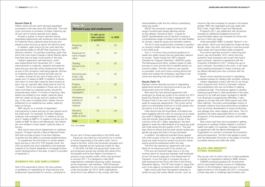responsibilities under the Act without undertaking equal pay audits."

ASLEF has produced a guide covering a full range of employment issues affecting women on the railways. *Women at Work – a guide for ASLEF representatives* has 20 sections covering a comprehensive range of matters such as toilet facilities for women, maternity issues and domestic violence.

The 2012 audit questionnaire contained a question on women's health and safety that was not included in the 2009 audit.

Four in 10 unions have produced guidance on health and safety issues that are particularly relevant to women. These include the CSP's *Hazards Checklist for Pregnant Members,* UNISON's guide *The Menopause and Work,* Usdaw's guide on safe journeys to work and the NUJ's website section on women's safety. The NUJ advice is very specific to journalists' work and covers working alone both inside and outside the workplace, reporting in war zones and reporting riots and civil disorder.

#### Results (Table 10)

Eighteen unions reported success in negotiating agreements aimed at improving women's pay and employment since the 2009 audit.

Nine said they had reached agreement with employers for equal pay audits to be carried out. BT's Equal Pay Review for 2012 led to agreement with Prospect that 0.3 per cent of the paybill would be set aside for equal pay adjustments. The money will be paid to an anticipated minimum of 4,000 people who are paid at a low level in their pay range.

Unite reports that the Royal Bank of Scotland has been engaging with the union on carrying out an equal pay audit to highlight any disparities in pay between men and women doing similar roles. As part of the outcome of the 2011 salary negotiations, the bank agreed to share the initial analysis of its equal pay audit with Unite during the first quarter of 2011. The next step will be to ensure that the bank quickly tackles any gender pay gaps and bias in its pay processes.

In addition, the National Australia Group agreed with Unite as part of the 2011 pay settlement that an equal pay audit would be carried out and any issues arising would be addressed within the year.

The NUJ has reached an agreement with Lexis Nexis for an equal pay audit to be carried out.

PCS won an important legal victory in its long running claims for equal pay between staff employed at two civil service agencies of the Department for Transport. It won the right to compare the pay of staff employed at the DVLA with that of the Driving Standards Agency. The DfT had sought to argue that such cross-agency comparisons were not possible.

Eight unions said they had agreed measures to tackle low pay that mainly affects women, such as minimum flat-rate increases for people in the lowest grades. RMT has negotiated such pay deals with East Coast, Virgin West Coast and Merseyrail. Prospect's 2011 pay settlement with Accenture included an additional budgeted amount for proportionately higher pay increases for those who are low in their pay range.

Unite persuaded HSBC to abolish 'Band A' in its pay system, which was dominated by longer-serving, female, often 'key-time' staff living in rural and poorer urban areas who have limited career prospects. Five unions reported success in improving parttimers' pay and benefits. UCU, which has long worked to stop excessive use of part-time hourly paid contracts, reached an agreement with the University of Bradford in 2011, limiting the use of such contracts. According to the union, it will mean many existing employees on these contracts will be offered standard part-time contracts with the university. Seven unions reported success in negotiating

workplace policies for dealing with domestic violence. Usdaw negotiated a policy with the Co-op Group, which supports both victims of domestic violence and perpetrators who are committed to seeking professional help. The employer agrees to develop training programmes to raise awareness of the issue among Co-op staff and equip managers to identify if an employee is experiencing difficulties. It also agreed to provide staff with initial support and offer them referrals. The policy acknowledges victims of domestic violence may have performance problems such as chronic absenteeism or lower productivity and pledges that, when dealing with these, "the Cooperative will make reasonable efforts to consider all aspects of the employee's situation and/or safety problems".

Nine unions said they had succeeded in getting employers to address matters related to women's health and safety. For example, Prospect reached an agreement with the Marine Management Organisation on women's workwear and protective personal equipment. The NUJ had agreed a policy with the *Newcastle Chronicle* on the safety of women journalists leaving work after late shifts.

## Black and minority ethnic workers

Fifty-six per cent of unions had up-to-date guidelines or policies for negotiators relating to BME workers. UNISON produced guidance for its branches and an associated training course on *Challenging Racism in the Workplace,* taking account of new legal provisions in the Equality Act 2010. It proposes a three-step plan to challenge discrimination and

#### Results (Table 9)

Fifteen unions (43 per cent) reported negotiated successes in this area since the 2009 audit. This was most commonly on provision of better maternity pay (33 per cent of unions reported such deals).

At least a quarter of unions reported having negotiated agreements with employers that provided for maternity leave, paternity leave and pay and adoption leave and pay at above the statutory level.

In addition, eight unions (22 per cent) said they had reached deals on APL&P that improved on the statutory scheme. It is perhaps surprising, given that this is the most recent change in family-friendly rights, that there has not been more activity in this area.

Usdaw's agreement with Morrisons, which was implemented from November 2011, made improvements to maternity, adoption and paternity leave and pay (and also family bereavement leave) as part of the company's well-being agenda. Women on maternity leave now receive full basic pay for 12 weeks, at least 50 per cent of basic pay for 14 weeks and 13 weeks at SMP. In addition, mothers who return to work after maternity leave receive an extra 'top up' payment after being back at work for 13 weeks. This is not available to those who do not return and there is a clawback policy should the employee leave within 12 months of returning. New fathers are entitled to four weeks' paternity leave, with two weeks at full pay and two weeks at half pay. In the case of multiple births, fathers have an entitlement to an additional two weeks' paternity leave on full pay.

RMT reports on a number of negotiated improvements to leave and pay for new parents since the 2009 audit. For example, at Chiltern Railways maternity was increased from 12 weeks at full pay and 27 weeks at SMP to 15 weeks on full pay and 24 weeks at SMP. At Serco and Merseyrail, new fathers are now entitled to three weeks' paternity leave on full pay.

Nine unions have struck agreements on childcare support. Prospect reports a deal at National Power Grid that provides access to tax-free childcare vouchers and the ability to purchase additional leave.

To supplement the information on family-related leave and pay in the 2012 TUC Equality Audit, the LRD surveyed local union negotiators and analysed material on its Payline database to investigate further recent developments in this area. A report is provided at Appendix C.

#### Women's pay and employment

Half of the respondent unions (18) have policies or guidelines on negotiating for improved pay and employment opportunities for women, compared to

63 per cent of those responding to the 2009 audit. Equal pay was cited as a top priority for a number of unions responding to this year's audit. One of these is the NUJ, which has produced campaign and briefing materials and an equal pay toolkit for reps.

In the NHS, the E&D sub group (joint trade union and employers group) has worked with advice from the Equality and Human Rights Commission to produce a pay equality toolkit, which was launched in summer 2011. It is designed to help NHS organisations undertake equal pay audits, because, as the employers' side declares: "NHS Employers believes that whilst it is not a stated legal requirement under the Equality Act 2010, NHS organisations would find it very difficult to fully comply with their

# Table 10: Women's pay and employment

|                                                             | % with up-to-<br>date policies<br>or guidelines | In 2009 |
|-------------------------------------------------------------|-------------------------------------------------|---------|
| Equal pay<br>audits                                         | 25                                              | 33      |
| Equal pay for<br>work of equal<br>value                     | 25                                              | 40      |
| <b>Tackling</b><br>women's low<br>pay                       | 22                                              | 20      |
| Improving part<br>timers' pay<br>and benefits               | 14                                              | 33      |
| <b>Positive</b><br>action on<br>occupational<br>segregation | 11                                              | 28      |
| Workplace<br>policies on<br>domestic<br>violence            | 19                                              | 35      |
| Women's<br>health and<br>safety at work                     | 43                                              | n/a     |
| <b>Total</b>                                                | 50                                              | 63      |

*n/a: not asked*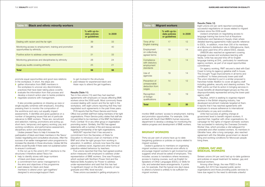monitor BME workers' access to employment, training and promotion opportunities. For example, Unite worked with South East BMW's human resources department to develop a strategy for monitoring the relative progress and development of BME workers.

#### Migrant workers

Thirty-six per cent of unions have up-to-date bargaining guidance or policies on topics related to migrant workers.

Usdaw's guidance to members on organising migrant workers covers internal union efforts to encourage migrant workers to get involved but also suggests what should be asked of employers. This includes: access to translators where necessary; access to training courses, such as English for Speakers of Other Languages (ESOL) or Skills for Life; and extended leave arrangements. It points out, for example, that the typical one day's leave to attend a funeral is unlikely to be sufficient for migrant workers.

#### Results (Table 12)

Eight unions (22 per cent) reported concluding successful negotiations on issues related to migrant workers since the 2009 audit.

Usdaw's emphasis on negotiating access to language training has borne fruit at Keystone Distribution and Sainsbury's Supply chain where detailed learning agreements make specific reference to ESOL. In addition, more than 200 of its members at a Morrison's distribution site in Sittingbourne, Kent, were given paid time off to attend ESOL classes. UNISON also reached an agreement covering language courses and workplace learning with Veolia. Unite has secured time off for English language training at DHL, particularly for warehouse agency workers, as part of an equal opportunities commitment.

Among other things, the new PSED in the Equality Act 2010 has required public sector organisations and those providing public services to have due regard to the need to eliminate unlawful

On agency working, RMT secured a deal with East Coast to bring its (agency) gateline staff in-house. This brought "huge improvements in all terms and conditions" to these previously lower-paid staff. The union intended to put in a similar proposal to franchise-holder Abellion to cover all agency staff including gateline, security and cleaning workers. The RMT points out that its action in bringing services inhouse benefits all disadvantaged groups as they are disproportionately represented among the lower-paid agency staff.

It also provides guidance on drawing up race or single equality schemes with employers, including pressing them to monitor the composition of the workforce and carry out equality impact assessments. It identifies and gives guidance on a number of bargaining issues that are of particular relevance to BME workers. These are: recruitment and selection; training; promotions and acting up; short-term, temporary and agency working; pay and working conditions; and performance assessment, disciplinary action and redundancies.

Nautilus, which is seeking to organise migrant workers in the British shipping industry, has developed recruitment materials targeted at them. It reports that it has reached agreements with employers to ensure adherence to international benchmarks on pay and conditions.

- help to identify stores with large numbers of black and Asian workers
- a commitment from senior management to the aims and objectives of the programme
- paid release for black and Asian members to attend union 'get-togethers' designed to encourage/support them

■ paid release for experienced black and Asian reps to attend the get-togethers.

> Unite had success at getting change at government level to benefit migrant workers. It reported that, together with other organisations, its campaign for the rights of migrant domestic workers has succeeded in restoring the Overseas Domestic Worker Visa, which provides a vital safeguard for vulnerable and often isolated workers. Its members in Gibraltar have, after a long campaign, also reached agreement with the Gibraltar government on decent living and working conditions for Moroccan people living there.

## Lesbian, gay and bisexual workers

Sixteen unions (44 per cent) had up-to-date guidance and policies on equal treatment for lesbian, gay and bisexual workers.

promote equal opportunities and good race relations in the workplace. In short, the steps are:

- gather information from BME members in the workplace to uncover any discriminatory practices that have been taking place covertly
- evaluate the information from that process and develop a branch action plan to tackle problems
- **n** negotiate solutions with management.

Usdaw pressed Tesco to help it increase the participation of black and Asian members in the Tesco/ Usdaw negotiating and consultative structures. After the success of an earlier management-union programme to increase the diversity in those structures, Usdaw felt the efforts would flounder if there were not sustained action to ensure it continued.

In the run-up to the union's 2011 elections to the structures it therefore asked Tesco for:

to get involved in the structures

#### Results (Table 11)

Two in five unions (15) said they had reached agreements with employers on issues affecting BME workers since the 2009 audit. Most commonly these covered dealing with racism and the far right in the workplace, with eight unions reporting that they had negotiated such agreements in the past three years.

PCS reports that the Prison Service and Home Office now prohibit staff from being members of far-right organisations. Prison Service policy states that staff are not permitted to be members of the BNP, the National Front, Combat 18 or any other group or organisation promoting racism. Similarly, the FBU has agreed statements with a number of fire and rescue services regarding membership of far-right organisations.

NASUWT reported that it has secured a commitment from the Secretary of State for Education to introduce a ban on members of the BNP and other far-right groups from working in education. In addition, schools now have the clear right to address racist, bigoted and other forms of prejudice-related behaviour by teachers.

Five unions reported that they had agreed positive action measures with employers to address underrepresentation of BME workers. One was Prospect, which worked with Northern Power Grid and the National Skills Academy for Power to address under-representation and said that this has had "a significant impact on the ethnic diversity of new graduate and HNC-level recruits".

Three unions succeeded in getting employers to

### Table 11: Black and ethnic minority workers

|                                                                                       | % with up-to-<br>date policies<br>or guidelines | In 2009 |
|---------------------------------------------------------------------------------------|-------------------------------------------------|---------|
| Dealing with racism and the far right                                                 | 39                                              | 33      |
| Monitoring access to employment, training and promotion<br>opportunities by ethnicity | 36                                              | 40      |
| Positive action to address under-representation                                       | 31                                              | 33      |
| Monitoring grievances and disciplinaries by ethnicity                                 | 28                                              | 24      |
| Equal pay audits covering ethnicity                                                   | 25                                              | 21      |
| <b>Total</b>                                                                          | 56                                              | 58      |

| <b>Table 12: Migrant workers</b>                         |                                                 |         |
|----------------------------------------------------------|-------------------------------------------------|---------|
|                                                          | % with up-to-<br>date policies<br>or guidelines | In 2009 |
| Time off for<br>English training                         | 17                                              | 12      |
| Employment<br>on collectively<br>agreed terms            | 19                                              | 14      |
| Compliance<br>with statutory<br>employment<br>standards  | 19                                              | 14      |
| Use of<br>agencies                                       | 19                                              | 14      |
| Prevention of<br>unreasonable<br>deduction from<br>wages | 14                                              | 12      |
| Recognition<br>of foreign<br>qualifications              | 19                                              | 19      |
| <b>Total</b>                                             | 36                                              | 35      |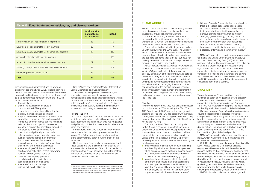### Trans workers

Sixteen unions (44 per cent) have current guidance or briefings on policies and practices related to transsexual and/or transgender workers.

In some unions the quidance in this area is presented within guidance on issues facing LGB workers, but a number of unions provided examples of materials dedicated solely to trans issues.

Some unions had updated their guidance to keep up with the law since the 2009 audit. The Equality Act 2010 extended the protection of trans workers to cover those who decide to live permanently as the opposite gender to their birth sex but have not undergone and do not intend to undergo a medical procedure to reassign their gender.

ASLEF's *Best Practice Guidelines for Transgender Workers* and UNISON's fact sheet *Transgender Workers' Rights* both set out the unions' own policies, a summary of the relevant law and detailed measures for negotiations with employers. These include: the process for dealing with an individual undergoing gender reassignment; communicating with fellow workers; arranging time off and other aspects related to the medical process; records and confidentiality; redeployment and retirement if requested; use of single-sex facilities; dress codes; and use of pronouns (whether they are known as 'he', 'she', etc).

#### **Results**

- employing and retaining trans people, including a "robust Equality Impact Assessment process which considers issues relating to gender identity and gender reassignment and which involves consultation with trans community groups"
- recruitment and interviews, which starts with job adverts that should state that applications from trans people are welcome. However, it says that "trans equality groups currently advise that employers do not monitor gender history or gender identity in the recruitment process"

Five unions reported that they had achieved success on this issue since 2009, including the FBU. The TUC Equality Audit 2005 reported on two groundbreaking policies the FBU had agreed with individual fire brigades, and now it has agreed a detailed policy document at national level with the Chief Fire Officers Association (CFOA).

The policy, entitled 'Trans: a practical guide for fire & rescue services', states that "not only is discrimination towards transsexual people unlawful, it wastes talents and lives and must be considered unacceptable by everyone who subscribes to the values of the Fire & Rescue Service". It provides detailed guidance to Fire & Rescue Services on good practice covering:

NASUWT negotiated a gender reassignment policy for staff at the United Church Schools Trust (UCST) and the United Learning Trust (ULT), which run academy schools. These policies cover: the definition of trans; the process for gender reassignment; legal protections; time off for medical treatment; reasonable adjustments for someone who is or has transitioned; pensions and insurance; and bullying and harassment. NASUWT has also worked with the DCSF to produce specialist guidance on sexist, sexual and transphobic bullying.

Ten unions (28 per cent) reported that since the 2009 audit they had reached deals with employers on LGB equal treatment, including seven who had negotiated family-friendly policies that make specific reference to same-sex partners.<sup>5</sup>

Twenty-two unions (61 per cent) had current guidance or policy on negotiating around disability. While this commonly relates to the provision of reasonable adjustments (applying to 17 unions), 15 unions had materials on adopting the social model of disability and 14 on provision of disability leave. Usdaw's pamphlet *Supporting Disabled Members*  covers the legal rights of disabled workers as incorporated in the Equality Act 2010. It shows reps how they can use the law to negotiate reasonable adjustments and help protect disabled employees from bullying and harassment and other acts of discrimination. The union has published a separate leaflet explaining how the Equality Act 2010 has improved the rights of disabled people. NASUWT has produced a model disability leave policy, which was informed by the expertise and experiences of disabled teachers. UNISON also has a model agreement on disability

leave, whose purpose is "to provide disabled employees with reasonable paid time off work for reasons related to their impairment". It explains that disability is distinct from sick leave, and includes time when an employee is well but absent from work for a disability-related reason. It gives a range of examples of reasons for the leave, including training with a guide dog, recovery time after dialysis treatment, physiotherapy and time while the employee is suffering from depression, stress or mental illness. UNISON has also published a detailed guide for

■ Criminal Records Bureau disclosure applications: there is a "special process for trans people who are concerned about the confidentiality of their gender history but still ensures that any previous criminal history cannot be hidden" ■ changing gender identity, including: an action plan for handling the transition at work; absences from work; communication with colleagues; change of name; use of facilities; uniform; harassment; confidentiality; and record keeping ■ a glossary of terms and a summary of the law.

### **DISABILITY**

discrimination and harassment and to advance equality of opportunity for LGB&T people from April 2011. UNISON's updated factsheet on LGB workers' rights advised its branches on steps employers could take to demonstrate compliance with the PSED in relation to sexual orientation.

- These include:
- ensure job advertisements state a commitment to LGB equality
- ensure there is a robust equality policy that explicitly mentions sexual orientation
- adopt a harassment policy that is sensitive as to whether or to whom LGB workers wish to 'come out' and that makes specific reference to homophobic and biphobic harassment, including a confidential complaints procedure and steps to tackle such harassment
- check that family-friendly and work-life balance policies contain inclusive language, such as 'parents' rather than 'mothers' and 'fathers', enable LGB workers to access them without having to 'prove' their entitlement, and do not discriminate
- ensure employers' IT firewalls and filters don't automatically block emails with words such as 'lesbian', which some do
- press for LGB equality policies to be publicised widely, to include an action plan and to be monitored
- ensure staff and line manager training includes LGB issues.

UNISON also has a detailed Model Statement on Sexual Orientation and Gender Identity.

The NUJ's model agreement on LGB&T rights emphasises a commitment to stamping out homophobia but also states that "assumptions will not be made that partners of staff and students are always of the opposite sex". It proposes that LGB&T issues are included in all equality training, internal attitude surveys and monitoring of harassment complaints.

#### Results (Table 13)

For example, the NUJ's agreement with the BBC has a preamble to its paternity leave clauses that states: "The following provisions apply to partners of the parent/primary carer, including those of the same sex."

Similarly, Usdaw's paternity leave agreement with Tesco states that the entitlement is available to an employee who is the father of the child, is married to or is the partner or civil partner of the child's mother or father, or is married to, or is the partner or civil partner of the child's adopter.

#### Table 13: Equal treatment for lesbian, gay and bisexual workers

|                                                       | % with up-to-<br>date policies<br>or guidelines | In 2009 |
|-------------------------------------------------------|-------------------------------------------------|---------|
| Family-friendly policies for same-sex partners        | 33                                              | 42      |
| Equivalent pension benefits for civil partners        | 22                                              | 47      |
| Equivalent pension benefits for all same-sex partners | 25                                              | 35      |
| Access to other benefits for civil partners           | 17                                              | 28      |
| Access to other benefits for all same-sex partners    | 22                                              | 26      |
| Tackling homophobia and biphobia in the workplace     | 39                                              | 42      |
| Monitoring by sexual orientation                      | 25                                              | 19      |
| Total                                                 | 44                                              | 56      |

<sup>5.</sup> Same-sex partners have access to the same statutory family leave and pay rights as opposite-sex partners but it is good practice for employers to specifically reference them in their own policies and agreements on maternity, adoption and paternity leave and pay.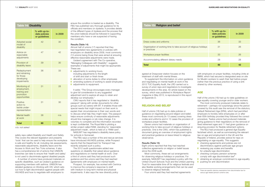agreed at Draxpower station focuses on the treatment of staff with mental illness.

To supplement the information on union guidance and negotiating on mental health at work in the 2012 TUC Equality Audit, the LRD carried out a survey of union reps and negotiators to investigate developments in this area. An article based on the survey, which was published in *Workplace Report* magazine in May 2012, is reproduced in this report at Appendix D.

#### Religion and belief

Half of unions (18) had up-to-date policies or guidance on negotiating around religion and belief, these most commonly (in 13 cases) covering dress codes and uniforms and in 12 cases the provision of workplace prayer facilities.

Half of the unions (18) had up-to-date guidelines on age equality covering younger and/or older workers. The most commonly produced materials relate to retirement – perhaps not surprisingly since the period covered by this audit saw the removal of the statutory Default Retirement Age (DRA), which had permitted employers to forcibly retire employees on or after their 65th birthday provided they followed the correct procedure. Twelve unions had produced materials giving guidance to their negotiators on the removal of fixed retirement ages and 11 had given guidance on ensuring provision for flexible retirement options. The NUJ had produced a general *Age Equality*  factsheet which, as well as summarising the relevant law on age and employment in the UK and the Republic of Ireland, provides advice for reps on negotiating on age equality. This suggests: ■ checking agreements and policies are not discriminatory against particular age groups ■ reviewing pay scales and benefits for unlawful age discrimination ■ checking company pension schemes comply with age discrimination law<sup>6</sup> obtaining an employer commitment to age equality ■ pushing for anti-discrimination

Eleven unions had materials on organisation of working time to take account of religious holidays or practices. One is the CWU, which has published a document giving an overview of employment rights and practical guidance on leave linked to religious observance.

#### Results (Table 15)

Eight unions reported that they had reached collective agreements on religion or belief issues since the 2009 audit.

Most commonly, these set out arrangements for observing religious holidays or practices. For example, NASUWT has negotiated a policy with the United Church Schools Trust and the United Learning Trust for reasonable time off for religious festivals and also flexible working arrangements that can be used to observe religious festivals.

Four unions said they had reached agreements

with employers on prayer facilities, including Unite at BMW, which had secured a designated area on site for Muslim workers to wash their feet before prayer (rather than the previous practice of using a sink shared by other workers).

## **AGE**

safety reps called *Disability and Health and Safety.*  This covers the relevant legislation and presents 'tools' that can be used to help ensure the workplace is safe and healthy for all, including risk assessments, reasonable adjustments, disability leave and the Access to Work and Two Ticks schemes. It also has a comprehensive list of actions that UNISON branches can take to ensure that 'health and safety' is not used to discriminate against disabled people.

A number of unions have produced materials on specific disabilities, such as Usdaw's quidance on supporting members with asthma. UNISON has detailed guidance on *Working with HIV,* which sets out how to fight discrimination against people with HIV/AIDS and how to negotiate with employers to

ensure the condition is treated as a disability. The FBU has published very thorough guidance for its officials and members on dyslexia. It provides details of the different types of dyslexia and the process that the union believes should be followed in supporting members who have or are suspected of having the condition.

### Results (Table 14)

Almost half of unions (17) reported that they had negotiated new agreements or policies with employers on disability since 2009, most commonly (13 unions) being those that were aimed at ensuring effective reasonable adjustments were made.

Usdaw's agreement with The Co-operative, "Managing Colleagues with Disability", suggests examples of adjustments that might be appropriate. These are:

- adjustments to working hours, including adjustments to the length of shift and start or finish times
- allocation of some duties to other employees
- amending systems of working to assist employees
- adjustments to equipment.

It adds: "The Group encourages every manager to give full consideration to any suggested adjustment and to explore all ways to retain and develop our employees."

CWU reports that it has negotiated a 'disability passport' (along with similar documents for other groups such as carers) with BT. It enables those with special needs that might impact on their work to explain their circumstances in their own words and to discuss what help they might need. The passport helps ensure continuity of reasonable adjustments should line managers or job roles change. It is voluntary to complete and the information recorded is kept confidential. The Royal Mail is piloting a similar project called RAM, standing for 'reasonable adjustment made', which is held on a 'RAM card'.

NASUWT has negotiated a disability leave policy for schools in Somerset.

The FBU says a number of fire and rescue services have introduced HIV/AIDS policies, while Prospect reports that the Department for Transport has recently adopted such a policy.

The 2012 audit questionnaire added new questions on disability that asked about guidance and negotiations on mental health at work. Over a third of unions said they had produced such guidance and five unions said they had reached agreements with employers on mental health.

Prospect, for example, has worked with Centrica to improve the company's response to staff with medium to long-term mental and physical impairments. It also says the new diversity policy

## Table 14: Disability

|                                                                            | % with up-to-<br>date policies<br>or guidelines | In 2009 |
|----------------------------------------------------------------------------|-------------------------------------------------|---------|
| Adopted social<br>model of<br>disability                                   | 42                                              | 30      |
| Advice on<br>reasonable<br>adjustments                                     | 47                                              | 42      |
| Provision of<br>disability leave                                           | 39                                              | 30      |
| Redeployment<br>and retraining<br>for those<br>developing<br>impairments   | 36                                              | 33      |
| Monitoring of<br>employment,<br>training and<br>promotion<br>opportunities | 31                                              | 28      |
| Positive<br>action to<br>tackle under-<br>representation                   | 31                                              | 30      |
| Mental health<br>at work                                                   | 36                                              | n/a     |
| <b>Total</b>                                                               | 60                                              | 54      |

*n/a: not asked*

# Table 15: Religion and belief

#### Dress codes and uniforms

| <b>Table 15: Religion and belief</b>                                               |                                                 |         |  |
|------------------------------------------------------------------------------------|-------------------------------------------------|---------|--|
|                                                                                    | % with up-to-<br>date policies<br>or guidelines | In 2009 |  |
| Dress codes and uniforms                                                           | 36                                              | 33      |  |
| Organisation of working time to take account of religious holidays<br>or practices | 31                                              | 26      |  |
| Workplace prayer facilities                                                        | 33                                              | 26      |  |
| Accommodating different dietary needs                                              | 28                                              | 28      |  |
| Total                                                                              | 50                                              | 42      |  |

6. There are specific statutory exemptions from discrimination law for various age-related pension scheme rules.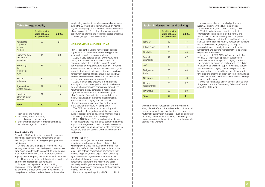# Table 16: Age equality

which notes that harassment and bullying is not always face-to-face but may be carried out via email or other means. It explains that it can be done via "automatic supervision methods – such as computer recording of downtime from work, or recording of telephone conversations – if these are not universally applied to all workers".

A comprehensive and detailed policy was negotiated between the RMT, including its 'harassment reps', and London Underground in 2010. It explicitly refers to all the protected characteristics and sets out both a formal and an informal process for dealing with complaints. Responsibilities are detailed for five different parties involved in the process, namely harassment advisers, accredited managers, employing managers, externally trained investigators and trade union harassment and bullying representatives, as well as employees themselves.

- monitoring job applications, promotions and training by age
- checking management recruitment materials for unlawful age discrimination.

At the end of 2009 NASUWT worked with the then DCSF to produce specialist guidance on sexist, sexual and transphobic bullying in schools that provided guidance on dealing with the bullying of teachers as well as of pupils. It was also agreed that incidents of bullying of staff and pupils should be reported and recorded in schools. However, the union reports that the coalition government has failed to take this forward. NASUWT said it was continuing to lobby on the issue.

Unite has negotiated dignity at work policies with Stagecoach and the Community Relations Council since the 2009 audit.

training for line managers

#### Results (Table 16)

Since the 2009 audit, unions appear to have been fairly busy negotiating new agreements on age. with 17 (47 per cent) reporting bargaining activity in this area.

Despite the legal changes on retirement, PCS among others found itself dealing with cases where employers were trying to force staff to retire against their wishes. The Vehicle and Operator Services Agency was attempting to make four PCS members retire. However, the union got the decision overturned and the fixed retirement age removed.

Prospect has negotiated an 'Approaching Retirement' policy with BAE Systems, which aims to "promote a smoother transition to retirement". It comprises up to 26 extra days' leave for those who

are planning to retire, to be taken as one day per week during the 26 weeks up to retirement paid on normal pay (i.e. basic pay plus shift and contractual allowances where appropriate). The policy allows employees the opportunity to attend a pre-retirement course or receive counselling/support prior to retirement.

### Harassment and bullying

Fifty-six per cent of unions have current policies or guidance on harassment and bullying policies referring to specific groups of workers.

ASLEF's very detailed guide, *More than Just a Union,* emphasises the equalities aspect of this issue and indeed it is subtitled *Respect, equal opportunities and equal treatment for all.* It includes the separate but linked topic of victimisation. It gives many illustrations of incidents that would constitute harassment against different groups, such as LGB workers and disabled workers, and sets out what can be done to prevent or remedy it.

ASLEF's guide also presents a 'best practice equality and harassment policy', which can be used by reps when negotiating harassment procedures with their employers. It includes a model equal opportunities statement, a detailed description of what 'equality of opportunity' does and does not mean, explanation of the terms 'discrimination', 'harassment and bullying' and 'victimisation', information on who is responsible for the policy and a detailed procedure for complaints.

The RMT has produced a model policy and procedure to help negotiators on this topic and a guide to representing or advising a member who is complaining of harassment or bullying.

Both UNISON and CSP have detailed guidance for negotiators and reps that gives pointers on how to approach management, checklists and awarenessraising activities, such as surveys of staff/members to assess the extent of bullying and harassment in the workplace.

#### Results (Table 17)

Fourteen unions (39 per cent) said they had negotiated new harassment and bullying policies with employers since the 2009 audit, though not all explicitly refer to the specific groups listed in the table. Nine of them had reached agreements that referred to gender, ethnic origin and/or disability; eight had reached agreements that referred to sexual orientation and/or age; and six had reached agreements that referred to religion and belief, nationality and/or gender reassignment. Four said they had also reached agreements that specifically referred to HIV status.

Usdaw had agreed a policy with Tesco in 2011

|                                                        | % with up-to-<br>date policies<br>or guidelines | In 2009 |
|--------------------------------------------------------|-------------------------------------------------|---------|
| <b>Adult</b> rates<br>of pay for<br>younger<br>workers | 22                                              | 21      |
| Removing age<br>limits from<br>recruitment             | 11                                              | 28      |
| Removing<br>fixed<br>retirement<br>ages                | 33                                              | 28      |
| Flexible<br>retirement                                 | 31                                              | 35      |
| Age/service-<br>related benefits                       | 22                                              | 35      |
| Health and<br>safety of older<br>workers               | 22                                              | 19      |
| <b>Total</b>                                           | 60                                              | 54      |

| <b>Table 17: Harassment and bullying</b> |                                                 |         |
|------------------------------------------|-------------------------------------------------|---------|
|                                          | % with up-to-<br>date policies<br>or guidelines | In 2009 |
| Gender                                   | 42                                              | 47      |
| Ethnic origin                            | 42                                              | 44      |
| <b>Disability</b>                        | 39                                              | 44      |
| Sexual<br>orientation                    | 42                                              | 47      |
| Age                                      | 36                                              | 44      |
| Religion and<br>belief                   | 33                                              | 44      |
| Nationality                              | 33                                              | 40      |
| Gender<br>reassignment                   | 33                                              | 37      |
| <b>HIV</b> status                        | 22                                              | 30      |
| <b>Total</b>                             | 56                                              | 61      |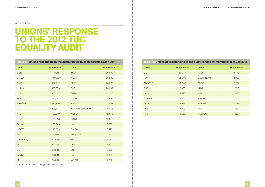# Unions' response **TO THE 2012 TUC EQUALITY AUDIT**

#### Appendix A

| Table 18: Unions responding to the audit, ranked by membership at Jan 2011 |            |                        |            |
|----------------------------------------------------------------------------|------------|------------------------|------------|
| <b>Union</b>                                                               | Membership | <b>Union</b>           | Membership |
| Unite                                                                      | 1,414,154  | <b>TSSA</b>            | 26,830     |
| <b>UNISON</b>                                                              | 1,374,500  | <b>NUJ</b>             | 26,809     |
| <b>GMB</b>                                                                 | 602,212    | <b>BECTU</b>           | 25,375     |
| Usdaw                                                                      | 398,859    | SoR                    | 23,389     |
| <b>NUT</b>                                                                 | 308,447    | <b>BFAWU</b>           | 22,127     |
| <b>PCS</b>                                                                 | 292,091    | <b>ASLEF</b>           | 18,867     |
| <b>NASUWT</b>                                                              | 282,890    | <b>FDA</b>             | 18,421     |
| <b>CWU</b>                                                                 | 208,714    | Nautilus International | 15,778     |
| <b>ATL</b>                                                                 | 123,210    | NGSU*                  | 12,578     |
| <b>UCU</b>                                                                 | 121,953    | <b>URTU</b>            | 12,317     |
| Prospect                                                                   | 120,349    | Napo                   | 8,568      |
| <b>UCATT</b>                                                               | 110,559    | <b>BALPA</b>           | 8,423      |
| <b>RMT</b>                                                                 | 77,031     | <b>ADVANCE</b>         | 7,003      |
| Community                                                                  | 67,488     | <b>BDA</b>             | 6,783      |
| <b>FBU</b>                                                                 | 43,306     | <b>AEP</b>             | 3,341      |
| <b>CSP</b>                                                                 | 36,901     | <b>BSU</b>             | 3,328      |
| Equity                                                                     | 36,501     | <b>NACO</b>            | 1,999      |
| <b>MU</b>                                                                  | 30,064     | <b>WGGB</b>            | 1,207      |

\* *includes OURS, which merged with NGSU in 2011*

| Table 19: Unions not responding to the audit, ranked by membership at Jan 2011 |                   |                  |                   |
|--------------------------------------------------------------------------------|-------------------|------------------|-------------------|
| <b>Union</b>                                                                   | <b>Membership</b> | <b>Union</b>     | <b>Membership</b> |
| <b>EIS</b>                                                                     | 59,371            | <b>NASS</b>      | 2,418             |
| <b>POA</b>                                                                     | 35,000            | <b>BACM-TEAM</b> | 2,365             |
| <b>ACCORD</b>                                                                  | 28,902            | <b>AEGIS</b>     | 2,227             |
| <b>SCP</b>                                                                     | 8,888             | <b>NUM</b>       | 1,713             |
| Unity                                                                          | 4,595             | <b>YISA</b>      | 1,365             |
| <b>ASPECT</b>                                                                  | 4,206             | <b>SURGE</b>     | 1,302             |
| <b>UCAC</b>                                                                    | 3,946             | <b>BOS TU</b>    | 1,221             |
| <b>HCSA</b>                                                                    | 3,399             | <b>AFA</b>       | 533               |
| <b>PFA</b>                                                                     | 2,688             | <b>NACODS</b>    | 350               |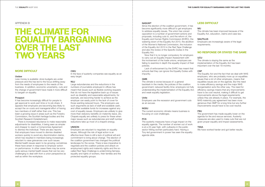#### NASUWT

Since the election of the coalition government, it has become significantly more difficult to get employers to address equality issues. The union has voiced opposition to a number of government actions and proposals, including cuts to, and the reform of, the Equality and Human Rights Commission (EHRC), the watering down of the Equality Act 2010, the abolition of the Women's National Commission, the inclusion of the Equality Act 2010 in the Red Tape Challenge and also the review of the Specific Duties in the Equality Act.

Now that it is no longer compulsory for employers to carry out an Equality Impact Assessment with the involvement of the trade unions, employers are failing to examine in depth the equality impact of their policies.

Lack of enforcement by the EHRC has meant that schools feel they can ignore the Equality Duties with impunity.

#### GMB

**UCU** The climate is staying the same as the implementation of the Equality Act has been important over the last 18 months.

The climate is worse because of: a general backlash in the media; the policies of the coalition government; reduced facility time; employers not fully understanding the implementation of the Equality Act; and weak equality legislation.

#### Unite

Employers use the recession and government cuts as an excuse.

#### **NGSU**

**CSP** The Equality Act and the fact that we deal with NHS employers, who are probably more up on equalities issues than a lot of other employers, means that equalities issues are on the agenda. But the need to make efficiency savings and the major NHS reorganisation acts the other way. The need for efficiency savings means that any improvements have to be cost neutral, making it difficult to get improvements above the legal requirements unless they are already in place. For example, the NHS maternity pay agreement has been more generous than SMP for a long time but any further improvements would have to be cost neutral.

**FBU** 

The current economic climate means business is focusing on cost challenges.

#### **PCS**

The government has made equality lower on the agenda for fire and rescue services. Austerity measures are also used to make cuts that are not given proper equality and impact assessments.

The austerity measures have a huge impact on the equality agenda. The number of women out of work is at a 23-year high, with cutbacks in the public sector hitting women particularly hard. Having a Tory-led government in power has seen the equality agenda slide.

# Less difficult

MU The climate has been improved because of the Equality Act, education, claims and case law.

### NAUTILUS

Employers are increasingly aware of the legal requirements.

# No response or stayed the same

#### **TSSA**

We have worked harder and got better results.

#### Appendix B

# **THE CLIMATE FOR EQUALITY BARGAINING** over the last **TWO YEARS**

### **MORE DIFFICULT**

#### Usdaw

Less money is available: store budgets are under pressure and this has led to the focus shifting away from the needs of employees to the needs of the business. In addition, economic uncertainty, cuts and the change of government have made it more difficult to bargain on equality.

#### Prospect

It has become increasingly difficult for people to get approval to work part-time or to job share. It appears that employers are becoming less likely to accept the on-costs and managerial effort of having two members of staff rather than one. This has been a growing issue in areas such as the Forestry Commission, the Scottish heritage bodies and the Scottish Research Establishment.

There is increased reluctance to make reasonable adjustments for disabilities, it being seen as simpler and cheaper to reach a Compromise Agreement to dismiss the individual. There are also reports that employers have moved to dismiss disabled workers quickly to avoid any discrimination claims, which has resulted in members being increasingly reluctant to raise grievances over such issues. Mental health issues seem to be growing; sometimes these have arisen in response to employer action on performance. In other cases there may be some quite serious mental health issues that can be very challenging to deal with from a union perspective as well as within the workplace.

#### CWU

In the face of austerity companies see equality as an easy target.

#### NUJ

Large redundancies and the reductions in the numbers of journalists employed in offices has meant that issues such as flexible working requests that do not have the legislative back up of issues such as disability and reasonable adjustments, for example, are becoming harder to achieve as the employer can easily point to the lack of cover for those wanting reduced hours. The employers use such arguments as lack of staff and available cash, and offset available funds for increases against any cost of equality issues. Employers are unlikely to give more-than-statutory benefits on maternity leave, etc. Chapels equally are unlikely to press for these when major issues such as redundancies and staff number reductions take up most of a chapel's energy.

#### UNISON

Employers are reluctant to negotiate on equality issues. Although the risk of legal action is an effective lever there is still a lack of political will and commitment to bring about change. The election of the coalition government has changed the political landscape for the worse. There is less imperative to negotiate and the coalition policies and attack on employment rights and maternity rights and the socalled Red Tape Challenge is undermining fairness, equality and rights of workers, their families and the protected equality groups.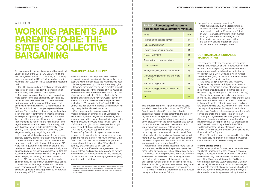This proportion is rather higher than was revealed in a similar exercise carried out for the 2009 TUC Equality Audit, when 58 per cent of collective agreements recorded were better than the statutory regime. This may be partly to do with some 'acceleration' of negotiated provisions to stay ahead of the statutory floor: the earlier research was carried out at a time when there had been recent rapid improvements in statutory entitlements.

Staff in large unionised organisations are much more likely than those in small ones to benefit from enhanced maternity provisions. In organisations with more than 300 employees, 84 per cent have betterthan-statutory provision, compared with 59 per cent in organisations with fewer than 300.

they provide, in one way or another, for more maternity pay than the legal minimum, which is six weeks at 90 per cent of average earnings plus a further 33 weeks at a flat rate of £135.45 a week (or 90 per cent of average earnings, whichever is the lower) and/or ■ they provide for some paid leave without the statutory service requirement of 26 weeks prior to the 'qualifying week'.

### CONTRACTUALLY ENHANCED maternity pay

Agreements in the public sector are more likely to beat statutory entitlements (93 per cent do so) than those in the private sector (where 66 per cent do so).

Enhanced maternity provision is also more prevalent in certain industrial sectors *(see Table 20);* however, the Payline data is less reliable here as it contains only a small number of agreements in some sectors. Those sectors faring less well are manufacturing, retail, wholesale, hotels and catering and other services.

The ways in which the agreements tend to surpass the legal minimum are as follows:

# Working parents and PARENTS-TO-BE: THE **STATE OF COLLECTIVE BARGAINING**

The enhanced maternity pay levels tend to come through providing women with a percentage of their normal contractual pay beyond the first six weeks, meaning women do not drop down at that point to the low flat rate SMP of £135.45 a week. Almost three-quarters (232; 71 per cent) of maternity deals stored on Payline provide for this.

Two thirds (215; 66 per cent) of all maternity agreements pay women at full pay for a period of their leave. The median number of weeks at full pay is 16 (this is often followed by a further period of enhanced pay, for example 50 per cent normal pay). The best contractual maternity pay schemes provide a year of leave at full pay. There are four such deals on the Payline database, of which three are in the private sector, at Ford, Jaguar and Landrover (the latter two were previously owned by Ford), while the only such agreement in the public sector is at Registers of Scotland, where employees with a year's service are entitled to a year's leave on full pay. Other good agreements are at Royal Mail Holdings (Quadrant Catering), which provides 40 weeks' maternity leave on full pay, and at five organisations with 39 weeks on full pay – the Cabinet Office, the Department for Culture, Media and Sport, Macmillan Publishers, the Scottish Court Service and Staffordshire Fire Brigade.

Most of these top deals are restricted to staff with one year's service, though at Ford and the Cabinet Office the service requirement is only 26 weeks.

#### Waiving service criteria

While the law provides for one year's maternity leave for all staff, irrespective of their service, it does not require employers to pay women during any of this leave unless they have 26 weeks' service by the end of the fifteenth week before the EWC (those who do not qualify are usually eligible for Maternity Allowance). However, some unions have managed to negotiate contractual pay for women who do not meet the service qualification for SMP; the Payline database includes 14 agreements along these lines.

#### Appendix c

To supplement the information received from national unions as part of the 2012 TUC Equality Audit, the LRD analysed information on maternity and paternity leave and pay on the LRD's Payline database, which has more than 2,300 collective agreements recorded on it.

The LRD also carried out a brief survey of workplace reps to get an idea of trends in the development of family-friendly leave policies in recent years.

The survey indicated that there had been rather more activity in the area of paternity leave and pay in the last couple of years than on maternity leave and pay. Just under a quarter (24 per cent) had seen changes on maternity while more than a third (37 per cent) had seen changes to paternity leave and pay. This is perhaps not surprising as there has been a focus in recent years on encouraging more shared parenting and getting fathers to take more time out of the workplace. However, the negotiated improvements do not reflect the main change in the legal framework over the period of the survey, which was the introduction of Additional Paternity Leave and Pay (APL&P) and we are just at the very early stages of seeing any bargaining around this.

It is clear is that there is some confusion between ordinary paternity leave (leave taken around the time of the birth) and the new APL. Asked whether their employer provided better-than statutory pay for APL, more than a quarter of reps said they did, but in a number of cases the descriptions were actually about enhanced pay for ordinary paternity leave. In fact, the research found only 10 organisations that provided enhanced pay for fathers (or mothers' partners) while on APL, whereas 242 agreements provided enhanced pay for the ordinary paternity leave period.

In addition, while a large number said there had been improvements to paternity leave, these were almost all updates to existing policies to incorporate the statutory APL&P provisions.

### Maternity leave and pay

While almost one in four reps said there had been changes in maternity provision in their workplace in the past two years, in most cases this was merely to keep collective agreements up to date with statutory rights.

However, there were one or two examples of newly enhanced provision. At the College of West Anglia, all women now receive the first six weeks at 90 per cent of pay whereas under the Statutory Maternity Pay scheme only women who have 26 weeks' service by the end of the 15th week before the expected week of childbirth (EWC) qualify for this.<sup>7</sup> Norfolk County Council has also started to provide all women with full pay during the first six weeks of leave.

Other ways in which maternity provision has been improved include an arrangement at Staffordshire Fire & Rescue, where pregnant women fire fighters are given support to stay on their shifts if appropriate, where previously they were made to work days. At HSBC there is a right not just to request but a right to return to work at 0.5 of full hours if required.

On the downside, in September 2011 Plymouth City Council cut its previous contractual enhancements to maternity pay so women are now entitled to just the statutory minimum. Previously the Council had paid the first six weeks at 90 per cent of normal pay, followed by either 12 weeks at 50 per cent pay or 20 weeks at 30 per cent pay.

Payline records 256 collective agreements on maternity leave and pay that in some way go beyond the minimum statutory requirements. This represents 79 per cent of all current maternity agreements (325) recorded on the database.

| Table 20: Percentage of maternity  |  |
|------------------------------------|--|
| agreements above statutory minimum |  |

| <b>Health</b>                                     | 100 |
|---------------------------------------------------|-----|
| Finance and business services                     | 94  |
| Public administration                             | 94  |
| Energy, water, mining, nuclear                    | 91  |
| Education (F&HE)                                  | 91  |
| Transport and communications                      | 85  |
| Other services                                    | 64  |
| Retail, wholesale, hotels and catering            | 63  |
| Manufacturing (engineering and metal<br>products) | 56  |
| Manufacturing (other)                             | 37  |
| Manufacturing (chemical, mineral and<br>metals)   | 33  |
| All                                               | 79  |

<sup>7.</sup> Women who do not meet this service criteria are usually entitled to claim Maternity Allowance, which is a benefit paid at the flat rate of £135.45 a week throughout the 39 weeks for which statutory maternity payments are available.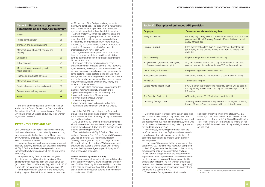More than one in four reps in the survey said their APL provision was better, in pay terms, than the statutory minimum, but the information they provided did not bear this out. And as stated above, there was much confusion between ordinary paternity leave and pay and this new provision.

Nevertheless, combining information from the reps' survey and from the Payline database reveals a small amount of evidence of the beginnings of collective negotiations to improve upon statutory APL&P provision.

There were 10 agreements that improved on the statutory APL&P scheme *(see Table 22),* compared to the 257 agreements that improve on the statutory provisions for ordinary paternity leave and pay. Of this handful of agreements, the most common improvement was to provide contractually enhanced pay to employees taking APL between weeks 20 and 26 after childbirth. As few women employees return to work before 26 weeks' leave (13 per cent).<sup>8</sup> relatively few fathers and partners may benefit from enhancing this period of APL.

There were a few agreements that provided

#### above statutory level

aring weeks 20–26 after birth is at 50% of normal phal Statutory Paternity Pay or 90% of normal

kes less than 26 weeks' leave, the father will any unused weeks taken from 20 weeks after

up to six weeks at half pay

is paid at basic pay for two weeks, half basic peks and reverts to ASPP for the remainder.

 $weeks$  20–26 after birth

eks 20–26 after birth is paid at 50% of salary

n preference to maternity leave it will be paid at weeks and half pay for 18 weeks up to total of

ks 20–26 after birth are fully paid

ot no service requirement to be eligible for leave, ks' service is needed to be eligible for pay.

significant improvements on the statutory APL&P scheme, in particular, Nestle UK (13 weeks on full pay for an employee on APL), Oxford Mental Health Trust (eight weeks on full pay and 18 weeks on half pay), and BT (two weeks on full pay and eight weeks on half pay).

The best of these deals are at the Civil Aviation Authority, the Crown Prosecution Service and the Department for Business, Innovation and Skills, which all provide 26 weeks on full pay to all women regardless of service.

#### PATERNITY LEAVE AND PAY

Just under four in ten reps in the survey said there had been alterations in their paternity leave and pay arrangements in the last two years. These were overwhelmingly changes to accommodate the new statutory APL&P scheme.

- **provide some pay above the statutory rate**
- provide for more than 10 days' leave
- **provide paternity leave without** a service requirement
- $\blacksquare$  allow paternity leave to be split, rather than taken as a single block of one or two weeks.

However, there were a few examples of improved ordinary paternity leave and pay provision, including at City & Guilds Institute, where provision was increased from two weeks on full pay to four weeks on full pay.

At Plymouth City Council matters had gone the other way, as with maternity provision. The entitlement was reduced from one week at full pay (and one at Statutory Paternity Pay, which is £135.45 a week) to the statutory floor of two weeks at SPP.

Payline records 257 paternity leave agreements that go beyond the statutory minimum, accounting

for 76 per cent of the 340 paternity agreements on the Payline database. This proportion is rather higher than in 2009, when 63 per cent of our collective agreements were better than the statutory regime.

As with maternity, enhanced paternity deals are more common in large organisations than in small ones, though the differences are less wide than for maternity. In organisations with more than 300 employees, 80 per cent have better-than-statutory provision. This compares with 66 per cent in organisations with fewer than 300.

And agreements in the public sector are more likely to improve on statutory entitlements (84 per cent do so) than those in the private sector (where 67 per cent do so).

Enhanced paternity provision is also more prevalent in certain industrial sectors *(see Table 21);*  again, however, the Payline data is less reliable here as it contains only a small number of agreements in some sectors. Those sectors faring less well than average are manufacturing (except chemical, mineral and metal products), finance and business services, retail, wholesale, hotels and catering, energy and water and other services.

The ways in which agreements improve upon the statutory minimum paternity provision are to:

A total of 242 (72 per cent) provide for a period of paid leave at a percentage of salary, rather than at the flat rate for SPP providing full pay for between two and twenty days.

And 28 of the 340 Payline paternity agreements allow for more than 10 days' leave, the longest period of extra leave being 10 days and the median period of extra leave being five days.

The best deals are at City & Guilds of London Institute, Guernsey Post Office, Royal Mail (Customer Services) and Royal Mail Holdings (Quadrant Catering), which give full pay for 20 days. Another 14 provide full pay for 15 days. While many of these provisions are available only to those with a year's service, the Highways Agency gives full pay for 15 days irrespective of service.

#### Additional Paternity Leave and Pay

APL&P enables a mother to transfer up to 26 weeks of her statutory maternity leave entitlement and any used SMP or Maternity Allowance (MA) to the father of the child or her partner from 20 weeks after the birth. It came into effect for parents of children born on or after 3 April 2011.

## Table 21: Percentage of paternity agreements above statutory minimum

| Health                                            | 88 |
|---------------------------------------------------|----|
| Public administration                             | 85 |
| <b>Transport and communications</b>               | 81 |
| Manufacturing (chemical, mineral and<br>metals)   | 80 |
| <b>Education</b>                                  | 80 |
| Other services                                    | 71 |
| Manufacturing (engineering and<br>metal products) | 69 |
| Finance and business services                     | 67 |
| Manufacturing (other)                             | 61 |
| Retail, wholesale, hotels and catering            | 55 |
| Energy, water, mining, nuclear                    | 46 |
| <b>Total</b>                                      | 76 |

## Table 22: Examples of enhanced APL provision

| <b>Employer</b>                                                    | <b>Enhancement abd</b>                                                |
|--------------------------------------------------------------------|-----------------------------------------------------------------------|
| <b>Bangor University</b>                                           | Paternity pay during<br>pay plus Additional<br>salary if this is less |
| Bank of England                                                    | If the mother takes I<br>get full pay for any u<br>childbirth         |
| <b>Bath University</b>                                             | Eligible staff get up                                                 |
| BT (NewGRID grades and managers,<br>professionals and salespeople) | Any APL taken is pa<br>pay for eight weeks                            |
| Diamond Light Source Ltd                                           | Full pay during weel                                                  |
| Ecclesiastical Insurance                                           | APL during weeks 2                                                    |
| <b>Nestle UK</b>                                                   | 13 weeks at full pay                                                  |
| <b>Oxford Mental Health Trust</b>                                  | If APL is taken in pre<br>full pay for eight we<br>26 weeks           |
| The Scottish Parliament                                            | APL during weeks 2                                                    |
| University College London                                          | Statutory except no<br>though 26 weeks's                              |

<sup>8.</sup> BIS/DWP Maternity and Paternity Rights and Women Returners Survey 2009/10.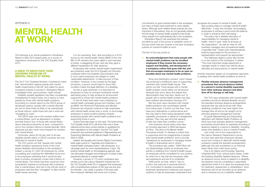commitment on good mental health in the workplace, but many of these were restricted to work-related stress. Although work-related stress policies are very important in themselves, they do not generally address the full range of mental health problems that hinder many people from participating fully in the workplace.

*Workplace Report* has examined the policies provided as part of the survey to establish some of the key points that are covered in the best workplace policies on mental ill health at work.

The first of four key points is:

1. An acknowledgement that many people with mental health problems can be excellent employees if they receive the necessary support and flexibility, and development of a workplace culture that goes with this and that encourages employees to be as open as possible about any mental health problems.

Shop and distribution workers' union Usdaw has produced a briefing for reps on supporting members with mental health issues. This points out that "most people with a mental health problem would rather not tell anyone because they worry about the stigma and discrimination they may face. Seven out 10 people with a mental health problem say they have suffered discrimination because of it."

But the union says members with mental health problems may nevertheless benefit from being open. It points out that they "may have poor attendance or performance and this may lead to them being disciplined under capability procedures or absence management policies. They may also find that aspects of their job make their condition worse."

One employer whose policy does take an inclusive approach is GKN Aerospace at Filton. The aims of its Mental Health Procedure include "to develop a culture that is supportive and non-judgemental of people with mental health problems" and to provide "assistance for employees in managing mental ill health in themselves and in others".

Its guide *Representing and Supporting Members with Mental Health Problems at Work* says that sickness absence management procedures should allow for separate recording of absence related to a person's disability, including where that disability is due to mental ill health.

The procedure also states: "GKN Filton will not disadvantage unfairly an employee who admits to suffering from mental ill health issues. An employee will be considered for any position for which he or she has the necessary skills and experience and are fit to undertake."

GKN points out that, while it "has no control over external or personal factors", it is "committed to develop procedures, employee development measures and support systems to help all employees understand and

# **MENTAL HEALTH** at work

recognise the causes of mental ill health, and take positive steps to manage mental ill health effectively". It says this includes "encouraging employees to achieve a good work-life balance in order to enhance their well-being".

The policy has a detailed allocation of responsibilities for managing mental ill health, which it says "rests at all levels of the organisation". As well as roles for HR, business managers and occupational health, it specifies that: "Trade union representatives shall be responsible for the provision of representation and support as appropriate." The Highways Agency policy also homes in on the culture of the workplace. It states: "The most important single adjustment a manager needs to make may well be about attitudes and assumptions to mental health."

Another important aspect of a progressive approach to dealing with mental health problems at work is:

#### 2. Flexible sickness absence management procedures that record absence related to a person's mental disability separately from other sickness absence and allow time off for therapy or self help.

It is not surprising, then, that according to a 2010 survey by the mental health charity MIND of the onefifth of UK workers who have called in sick because of stress, a staggering 93 per cent say they gave a different explanation for their absence.

> The TUC says employees with mental health problems should be allowed flexibility around the standard sickness absence arrangements because they (as well as those with other disabling conditions) may have higher than average time off and so be caught out by sickness absence management policies.

Just under one in four respondents to the Labour Research Department's survey of union reps said their employers allowed some form of leave to deal with mental health problems outside the standard arrangements (although this was sometimes on an informal basis rather than a laid-down policy).

One is St Helens and Knowsley Teaching Hospitals NHS Trust, whose policy states, under the heading Disability-Related Absence: "Where an absence occurs which is related to a disability, the absence may be considered a reasonable adjustment when it is to allow the employee time for treatment, assessment or rehabilitation. Such absences will not be recorded as an absence due to sickness but as a disability-related

#### Appendix d

The following is an article published in *Workplace Report* in May 2012 based partly on a survey of negotiators conducted for the TUC Equality Audit 2012.

#### A need to negotiate over growing problem of mental health at work

The 2012 TUC Disabled Workers' Conference noted that "discrimination against people with mental health impairments is still rife" and called for good workplace policies to prevent it. Workplace Report investigates what 'good policies' might include.

Disability equality legislation has been considerably strengthened in recent years, but it seems to have passed by those with mental health problems. According to a recent report by the OECD group of developed nations, people with a mental disorder are two to three times as likely to be unemployed as those without, while those who are in work are "struggling to cope".

The OECD says one in five workers suffers from a mental illness, such as depression or anxiety, and that three in four of those with mental illness report reduced productivity at work, compared to one in four workers without a mental disorder. Work absences are also much more frequent for workers with mental illness.

Ominously, about 30–50 per cent of all new disability benefit claims in OECD countries are now attributed to mental ill health.

The TUC points out that "people with mental health problems experience some of the most severe disability discrimination in the workplace". Indeed, a survey of 1,822 UK employers by online counselling and coaching firm Mentaline found one in five employers admitting that it would be less likely to employ somebody it knew had a history of mental illness. Two-thirds said they would be more sympathetic towards an employee with a physical than a mental illness. And two in five (39 per cent) of employers said that they "struggled" to take mental health issues seriously.

Employees with certain mental health impairments are protected under the 2010 Equality Act (formerly contained within the Disability Discrimination Act). In such cases employers are obliged to make 'reasonable adjustments' to take account of their condition. However, to be covered by the legal provisions, a person would need to show their condition meets the legal definition of a disability.

As this is quite restricted, it is important for employers to have an inclusive workplace mental well-being policy to help achieve an environment supportive to those with mental health problems.

In the UK there have been many initiatives by mental health campaign groups and charities, such as MIND, the Richmond Fellowship and Mindful Employer (an employer scheme to help employees with mental health issues stay in work), to encourage employers to adopt positive policies towards employing people with mental health problems and supporting those in work.

Unions have also been on the case. The forthcoming TUC Equality Audit 2012 will show that one in three national unions have current policies or guidelines for their negotiators on the subject. And the TUC itself produced very practical guidance in *Representing and Supporting Members with Mental Health Problems at Work* in 2008.

Indeed, the Equality and Human Rights Commission itself urges unions to "negotiate and implement a mental health workplace policy" with employers. In a campaign pack for union representatives, it says: "By putting mental health on the bargaining agenda, reps can persuade managers and employers to adopt a less prejudiced attitude to mental health."

However, a survey of 170 union workplace reps carried out by the Labour Research Department for the TUC Equality Audit 2012 suggests that employers with comprehensive policies of this type are few and far between. Just under a quarter of the reps said their employer definitely had some sort of policy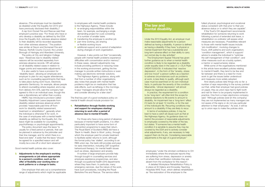employees "under the strictest confidence to OH immediately where the employee reports they are suffering from stress, depression or anxiety or where their certification indicates they are absent from the workplace for this reason".

A detailed Workplace Rehabilitation Policy is in place at St Helens and Knowsley Teaching Hospitals NHS Trust, which defines rehabilitation as "the restoration of the employee to the

fullest physical, psychological and vocational status consistent with that prior to their preabsence status or to which they are capable".

If the Trust's OH department recommends rehabilitation for someone returning to work following a period of extended sick leave, a rehabilitation co-ordinator will assess what measures are necessary. Possibilities relevant to those with mental health issues include: 'job modification', involving changes to hours, shift patterns and work organisation; 'condition management', which is support/ advice to enable the individual to "optimise the self-management of their condition"; and other measures such as a buddy system, a mentor or supernumerary status.

While some of the organisations mentioned in this article have excellent policies relating to mental ill health, they tend to be few and far between and there is a need for more work to get the issues better understood and measures more widely adopted.

And clearly polices take things only so far: a number of reps responding to the survey pointed out that, while their employer had good policies on paper, they as union reps had to fight tooth and nail for them to be properly implemented in practice. One from a major electronics company said: "Although policies exist [in this company] they are not implemented as many managers are not aware of the signs or do not pay particular attention to their employees." As ever, it will be up to union reps to make the policies stick.

absence. (The employee must be classified as disabled under the Equality Act 2010 and have previously disclosed their disability.)"

A rep from Dorset Fire and Rescue said their employer's practice was: "For those who have or who develop a disability as defined by the DDA (now the Equality Act), sickness absence related to their disability will be recorded separately from other sickness absence." The position was similar at Devon and Somerset Fire and Rescue, Norfolk County Council, the London Borough of Haringey and Aberdeen University.

- re-arranging responsibilities within the team, for example, exchanging a single demanding project for a job consisting of a number of smaller tasks
- transferring the employee to another job
- part-time working, job-sharing or flexible working hours
- additional support and a period of adaptation during changes of work organisation.

The policy at City and Islington College says: "Absences due to disability related reasons will be recorded separately from sickness absence records. HR will advise on all disability related cases in relation to trigger points and reasonable adjustments."

It is also useful to have a provision for 'disability leave', allowing an employee and employer to plan for any regular attendances, such as for counselling appointments that have to take place during work hours. Electricity generator Sembcorp, for example, allows people to attend counselling where required, and a rep from delivery firm DHL said the company had agreed to this in an individual case, though this was a discretionary act rather than a policy.

HMRC has introduced a provision called Disability Adjustment Leave (separate from disability-related sickness absence) which provides "reasonable paid time off from work for disability related assessment, treatment or rehabilitation", generally when the individual is otherwise fit for work. In the case of employees with a mental health disability as defined by the Equality Act, the leave might be available for counselling, psychotherapy or psychologist appointments.

The policy document says the leave "is usually for a fixed period or periods, that can be planned in advance by the jobholder and their line manager, and for which there is a fixed end date". It adds that the leave "should be agreed for a specified reason and will mostly be a one-off or short term absence".

Good mental health policies also cover:

3. Adjustments to the employee's working arrangements or job where appropriate to a person's condition, such as the offer of flexibility over working time or work patterns or a change in tasks.

One employer that sets out a comprehensive range of adjustments which might be applicable to employees with mental health problems is the Highways Agency. These include:

However, it also points out that "occasionally, people with mental health problems experience difficulties with concentration and/or memory". In these cases, relevant adjustments may include providing partitions or reducing noise in the working environment, getting the line manager to provide written instructions or even making use electronic reminder solutions.

The Highways Agency guidance, along with that from a number of other organisations, also notes that people with mental health problems might be on medication that has side effects, such as lethargy in the mornings. It says "managers should allow for this and consider allowing for a later start".

The final key part of a good workplace policy on mental ill health should include provision for:

#### 4. Rehabilitation through flexible working and support for employees starting/ returning to work after a period of absence due to mental ill health.

For those who have a long period of absence because of mental health problems, it is often particularly important to have some form of intervention programme to ease their return. The Royal Bank of Scotland (RBS) did have a 'Back to Health, Back to Work' policy, through which the employer paid for private treatment to facilitate earlier returns to work; although the formal policy has 'stalled', according to an RBS union rep, the bank still provides and pays for early intervention, including CBT (cognitive behavioural therapy), for mental health issues such as stress, depression and anxiety.

A number of large employers provide help through bought-in counselling services and employee assistance programmes, and also through occupational health (OH) departments where they have them. In particular, many emergency services, due the nature of the work, have such procedures, including the Royal Berkshire Fire and Rescue. The service refers

# The law and mental disability

Under the 2010 Equality Act, an employer must make reasonable adjustments for a person defined as having a disability. A person is defined as having a disability if they have "a physical or mental impairment that has a substantial and long-term adverse effect on their ability to carry out normal day-to-day activities".

The Employment Appeal Tribunal has given further guidance as to when a mental health condition is likely to be regarded as a disability under equality laws in the case of J v DLA Piper UKEAT/0263/09. It indicated that 'reactive depression', in the form of the "anxiety, stress and low mood" a person suffers as a reaction to adverse circumstances such as problems at work, is less likely to qualify, although each case must be examined on its own individual facts, in particular the severity of the condition. Meanwhile, 'clinical depression' will almost always be regarded as a disability.

In practice, the requirement for a condition to be 'long-term' will often limit the scope for adverse reactions to life events to amount to disability. An impairment has a 'long-term' effect if it lasts for at least 12 months, or for the rest of the individual's life. Recurring conditions may amount to a disability if they are likely to recur.

In terms of workplace policies, it may be best to have a catch-all clause such as that at the Highways Agency. Its guidance does not restrict the provision of reasonable adjustments to employees covered by the letter of the law, but states: "If someone has a mental health condition it is sensible to assume they may be covered by the DDA and to actively consider what adjustments, if any, are necessary to help support them do the job. Considering reasonable adjustments is the sign of a good employer."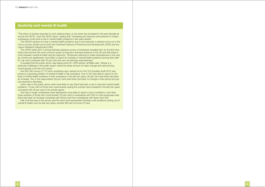# Austerity and mental ill health

"The share of workers exposed to work-related stress, or job strain has increased in the past decade all across the OECD," says the OECD report, adding that "increasing job insecurity and pressure in today's workplaces could drive a rise in mental health problems in the years ahead".

The OECD's picture of a rise in mental health problems due to job insecurity is already borne out in the UK by surveys carried out by both the Chartered Institute of Personnel and Development (CIPD) and the Labour Research Department (LRD).

It revealed that the public sector was being worst hit. CIPD adviser Jill Miller said: "Stress is a particular challenge in the public sector where the sheer amount of major change and restructuring would appear to be the root cause."

The CIPD's latest (2011) annual sickness absence survey of employers revealed that, for the first time, stress has become the most common cause of long-term sickness absence in the UK and that there is a link between mental ill health and job insecurity. "Employers planning to make redundancies in the next six months are significantly more likely to report an increase in mental health problems among their staff (51 per cent compared with 32 per cent who are not planning redundancies)."

And reps in larger workplaces were significantly more likely to report a rise in problems: more than three-quarters of those who could answer (79 per cent) in workplaces with 500 or more employees said there had been an increase compared with 36 per cent from workplaces with fewer than 500.

And the LRD survey of 170 union workplace reps carried out for the TUC Equality Audit 2012 also points to a growing problem of mental ill health in the workplace. Out of 102 reps able to report on the level of mental health problems in their workplace in the last two years, 60 per cent said there had been an increase. Two in five respondents (39 per cent) said there had been no change in that period and just one reported a decrease.

Union reps in the public sector were more likely to say there had been a rise in reported mental health problems, 75 per cent of those who could answer saying the number had increased in the last two years compared with 48 per cent in the private sector.

Half of all the reps in the survey said the union had represented members with problems arising out of mental ill health over the last two years; another fifth did not know if it had.